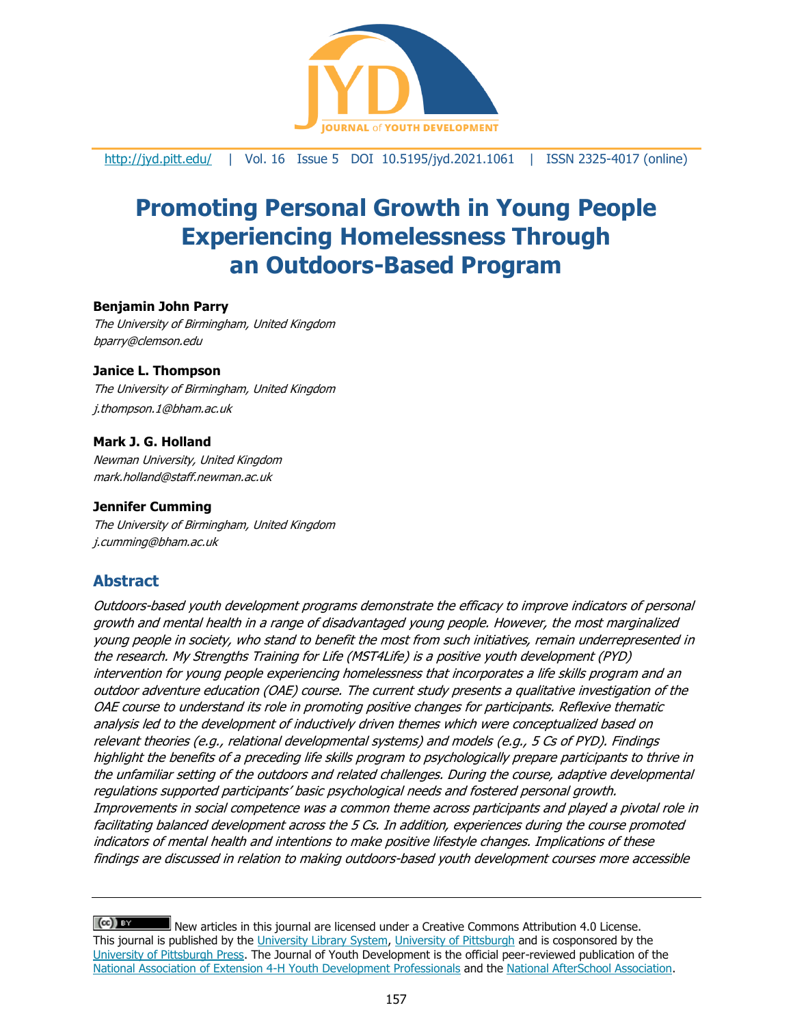

<http://jyd.pitt.edu/> | Vol. 16 Issue 5 DOI 10.5195/jyd.2021.1061 | ISSN 2325-4017 (online)

# **Promoting Personal Growth in Young People Experiencing Homelessness Through an Outdoors-Based Program**

#### **Benjamin John Parry**

The University of Birmingham, United Kingdom bparry@clemson.edu

#### **Janice L. Thompson**

The University of Birmingham, United Kingdom j.thompson.1@bham.ac.uk

#### **Mark J. G. Holland**

Newman University, United Kingdom mark.holland@staff.newman.ac.uk

#### **Jennifer Cumming**

The University of Birmingham, United Kingdom j.cumming@bham.ac.uk

# **Abstract**

Outdoors-based youth development programs demonstrate the efficacy to improve indicators of personal growth and mental health in a range of disadvantaged young people. However, the most marginalized young people in society, who stand to benefit the most from such initiatives, remain underrepresented in the research. My Strengths Training for Life (MST4Life) is a positive youth development (PYD) intervention for young people experiencing homelessness that incorporates a life skills program and an outdoor adventure education (OAE) course. The current study presents a qualitative investigation of the OAE course to understand its role in promoting positive changes for participants. Reflexive thematic analysis led to the development of inductively driven themes which were conceptualized based on relevant theories (e.g., relational developmental systems) and models (e.g., 5 Cs of PYD). Findings highlight the benefits of a preceding life skills program to psychologically prepare participants to thrive in the unfamiliar setting of the outdoors and related challenges. During the course, adaptive developmental regulations supported participants' basic psychological needs and fostered personal growth. Improvements in social competence was a common theme across participants and played a pivotal role in facilitating balanced development across the 5 Cs. In addition, experiences during the course promoted indicators of mental health and intentions to make positive lifestyle changes. Implications of these findings are discussed in relation to making outdoors-based youth development courses more accessible

 $(cc)$  BY New articles in this journal are licensed under a Creative Commons Attribution 4.0 License. This journal is published by the [University Library System,](http://www.library.pitt.edu/) [University of Pittsburgh](http://www.pitt.edu/) and is cosponsored by the [University of Pittsburgh Press.](http://www.upress.pitt.edu/upressIndex.aspx) The Journal of Youth Development is the official peer-reviewed publication of the [National Association of Extension 4-H Youth Development Professionals](http://www.nae4ha.com/) and the [National AfterSchool Association.](http://naaweb.org/)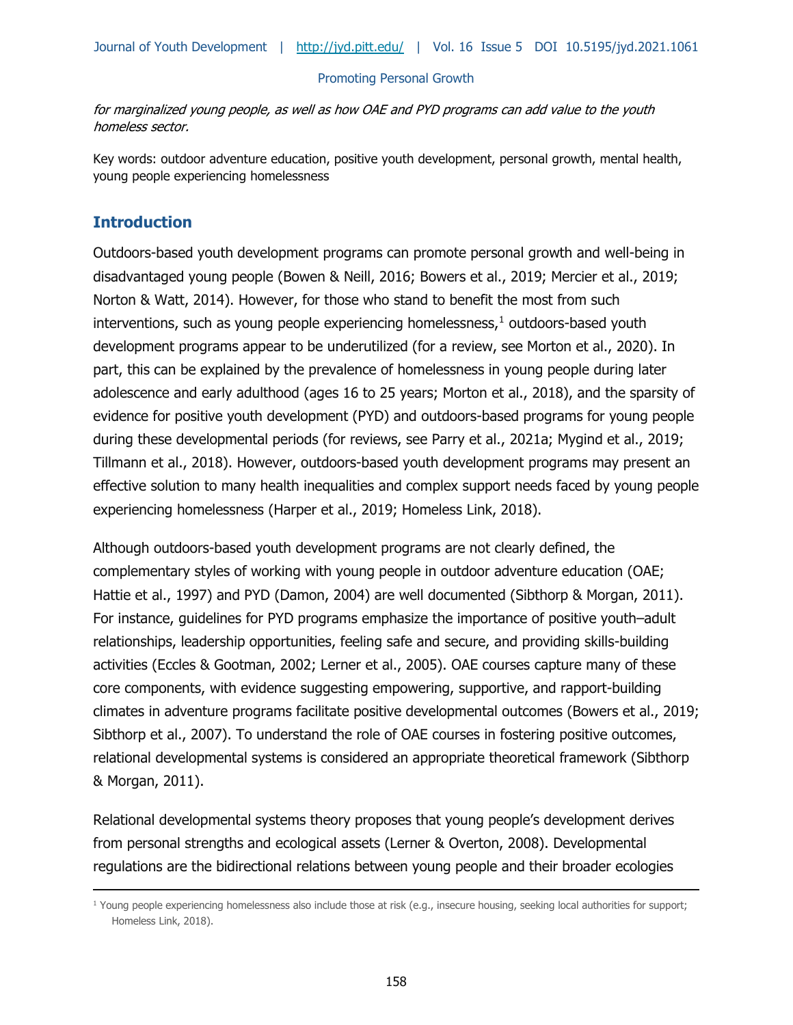for marginalized young people, as well as how OAE and PYD programs can add value to the youth homeless sector.

Key words: outdoor adventure education, positive youth development, personal growth, mental health, young people experiencing homelessness

# **Introduction**

Outdoors-based youth development programs can promote personal growth and well-being in disadvantaged young people (Bowen & Neill, 2016; Bowers et al., 2019; Mercier et al., 2019; Norton & Watt, 2014). However, for those who stand to benefit the most from such interventions, such as young people experiencing homelessness, $1$  outdoors-based youth development programs appear to be underutilized (for a review, see Morton et al., 2020). In part, this can be explained by the prevalence of homelessness in young people during later adolescence and early adulthood (ages 16 to 25 years; Morton et al., 2018), and the sparsity of evidence for positive youth development (PYD) and outdoors-based programs for young people during these developmental periods (for reviews, see Parry et al., 2021a; Mygind et al., 2019; Tillmann et al., 2018). However, outdoors-based youth development programs may present an effective solution to many health inequalities and complex support needs faced by young people experiencing homelessness (Harper et al., 2019; Homeless Link, 2018).

Although outdoors-based youth development programs are not clearly defined, the complementary styles of working with young people in outdoor adventure education (OAE; Hattie et al., 1997) and PYD (Damon, 2004) are well documented (Sibthorp & Morgan, 2011). For instance, guidelines for PYD programs emphasize the importance of positive youth–adult relationships, leadership opportunities, feeling safe and secure, and providing skills-building activities (Eccles & Gootman, 2002; Lerner et al., 2005). OAE courses capture many of these core components, with evidence suggesting empowering, supportive, and rapport-building climates in adventure programs facilitate positive developmental outcomes (Bowers et al., 2019; Sibthorp et al., 2007). To understand the role of OAE courses in fostering positive outcomes, relational developmental systems is considered an appropriate theoretical framework (Sibthorp & Morgan, 2011).

Relational developmental systems theory proposes that young people's development derives from personal strengths and ecological assets (Lerner & Overton, 2008). Developmental regulations are the bidirectional relations between young people and their broader ecologies

 $1$  Young people experiencing homelessness also include those at risk (e.g., insecure housing, seeking local authorities for support; Homeless Link, 2018).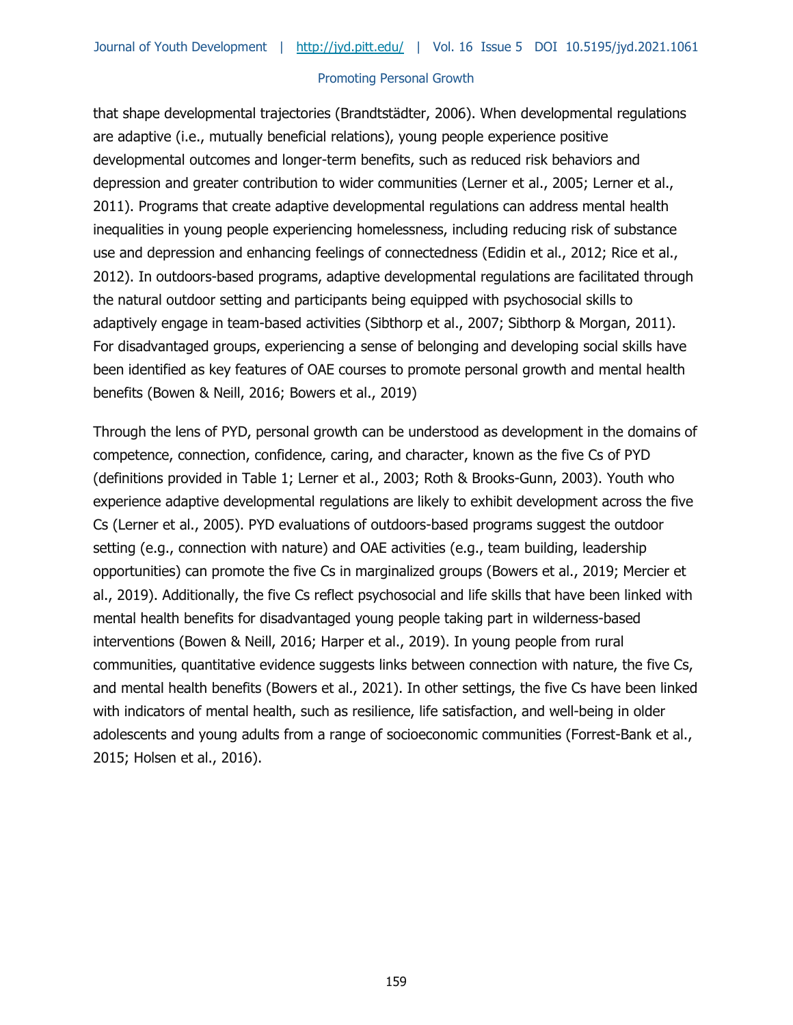that shape developmental trajectories (Brandtstädter, 2006). When developmental regulations are adaptive (i.e., mutually beneficial relations), young people experience positive developmental outcomes and longer-term benefits, such as reduced risk behaviors and depression and greater contribution to wider communities (Lerner et al., 2005; Lerner et al., 2011). Programs that create adaptive developmental regulations can address mental health inequalities in young people experiencing homelessness, including reducing risk of substance use and depression and enhancing feelings of connectedness (Edidin et al., 2012; Rice et al., 2012). In outdoors-based programs, adaptive developmental regulations are facilitated through the natural outdoor setting and participants being equipped with psychosocial skills to adaptively engage in team-based activities (Sibthorp et al., 2007; Sibthorp & Morgan, 2011). For disadvantaged groups, experiencing a sense of belonging and developing social skills have been identified as key features of OAE courses to promote personal growth and mental health benefits (Bowen & Neill, 2016; Bowers et al., 2019)

Through the lens of PYD, personal growth can be understood as development in the domains of competence, connection, confidence, caring, and character, known as the five Cs of PYD (definitions provided in Table 1; Lerner et al., 2003; Roth & Brooks-Gunn, 2003). Youth who experience adaptive developmental regulations are likely to exhibit development across the five Cs (Lerner et al., 2005). PYD evaluations of outdoors-based programs suggest the outdoor setting (e.g., connection with nature) and OAE activities (e.g., team building, leadership opportunities) can promote the five Cs in marginalized groups (Bowers et al., 2019; Mercier et al., 2019). Additionally, the five Cs reflect psychosocial and life skills that have been linked with mental health benefits for disadvantaged young people taking part in wilderness-based interventions (Bowen & Neill, 2016; Harper et al., 2019). In young people from rural communities, quantitative evidence suggests links between connection with nature, the five Cs, and mental health benefits (Bowers et al., 2021). In other settings, the five Cs have been linked with indicators of mental health, such as resilience, life satisfaction, and well-being in older adolescents and young adults from a range of socioeconomic communities (Forrest-Bank et al., 2015; Holsen et al., 2016).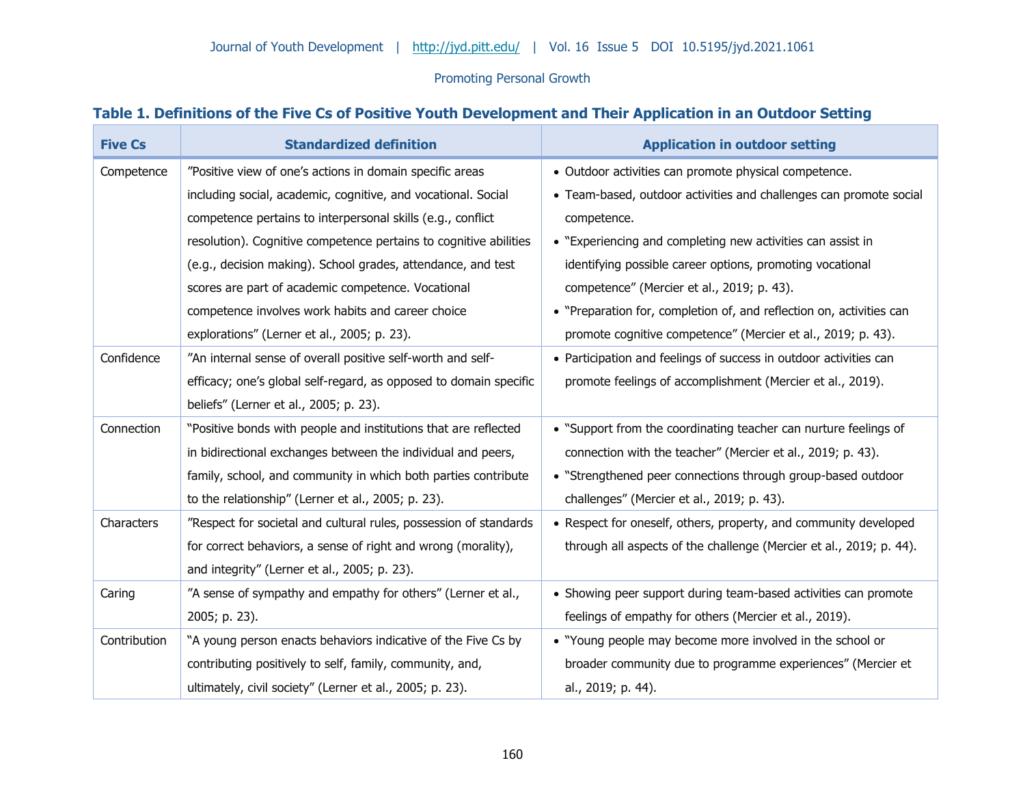# **Table 1. Definitions of the Five Cs of Positive Youth Development and Their Application in an Outdoor Setting**

| <b>Five Cs</b> | <b>Standardized definition</b>                                    | <b>Application in outdoor setting</b>                                |
|----------------|-------------------------------------------------------------------|----------------------------------------------------------------------|
| Competence     | "Positive view of one's actions in domain specific areas          | · Outdoor activities can promote physical competence.                |
|                | including social, academic, cognitive, and vocational. Social     | • Team-based, outdoor activities and challenges can promote social   |
|                | competence pertains to interpersonal skills (e.g., conflict       | competence.                                                          |
|                | resolution). Cognitive competence pertains to cognitive abilities | • "Experiencing and completing new activities can assist in          |
|                | (e.g., decision making). School grades, attendance, and test      | identifying possible career options, promoting vocational            |
|                | scores are part of academic competence. Vocational                | competence" (Mercier et al., 2019; p. 43).                           |
|                | competence involves work habits and career choice                 | • "Preparation for, completion of, and reflection on, activities can |
|                | explorations" (Lerner et al., 2005; p. 23).                       | promote cognitive competence" (Mercier et al., 2019; p. 43).         |
| Confidence     | "An internal sense of overall positive self-worth and self-       | • Participation and feelings of success in outdoor activities can    |
|                | efficacy; one's global self-regard, as opposed to domain specific | promote feelings of accomplishment (Mercier et al., 2019).           |
|                | beliefs" (Lerner et al., 2005; p. 23).                            |                                                                      |
| Connection     | "Positive bonds with people and institutions that are reflected   | • "Support from the coordinating teacher can nurture feelings of     |
|                | in bidirectional exchanges between the individual and peers,      | connection with the teacher" (Mercier et al., 2019; p. 43).          |
|                | family, school, and community in which both parties contribute    | • "Strengthened peer connections through group-based outdoor         |
|                | to the relationship" (Lerner et al., 2005; p. 23).                | challenges" (Mercier et al., 2019; p. 43).                           |
| Characters     | "Respect for societal and cultural rules, possession of standards | • Respect for oneself, others, property, and community developed     |
|                | for correct behaviors, a sense of right and wrong (morality),     | through all aspects of the challenge (Mercier et al., 2019; p. 44).  |
|                | and integrity" (Lerner et al., 2005; p. 23).                      |                                                                      |
| Caring         | "A sense of sympathy and empathy for others" (Lerner et al.,      | • Showing peer support during team-based activities can promote      |
|                | 2005; p. 23).                                                     | feelings of empathy for others (Mercier et al., 2019).               |
| Contribution   | "A young person enacts behaviors indicative of the Five Cs by     | • "Young people may become more involved in the school or            |
|                | contributing positively to self, family, community, and,          | broader community due to programme experiences" (Mercier et          |
|                | ultimately, civil society" (Lerner et al., 2005; p. 23).          | al., 2019; p. 44).                                                   |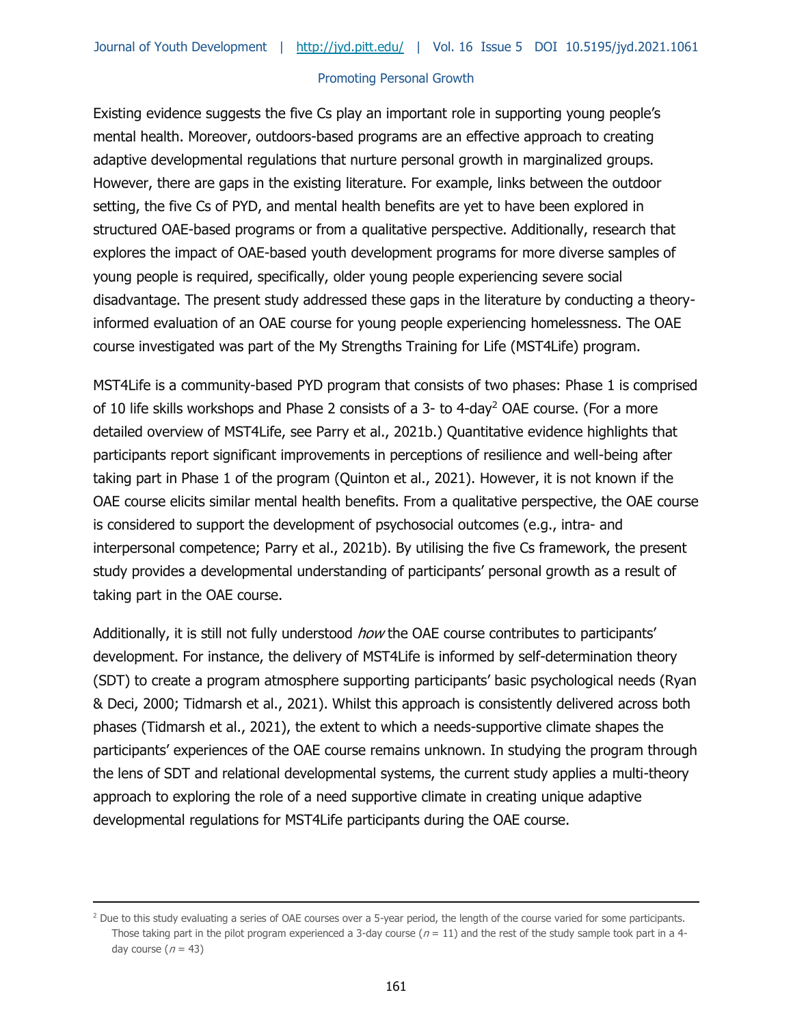Existing evidence suggests the five Cs play an important role in supporting young people's mental health. Moreover, outdoors-based programs are an effective approach to creating adaptive developmental regulations that nurture personal growth in marginalized groups. However, there are gaps in the existing literature. For example, links between the outdoor setting, the five Cs of PYD, and mental health benefits are yet to have been explored in structured OAE-based programs or from a qualitative perspective. Additionally, research that explores the impact of OAE-based youth development programs for more diverse samples of young people is required, specifically, older young people experiencing severe social disadvantage. The present study addressed these gaps in the literature by conducting a theoryinformed evaluation of an OAE course for young people experiencing homelessness. The OAE course investigated was part of the My Strengths Training for Life (MST4Life) program.

MST4Life is a community-based PYD program that consists of two phases: Phase 1 is comprised of 10 life skills workshops and Phase 2 consists of a 3- to 4-day<sup>2</sup> OAE course. (For a more detailed overview of MST4Life, see Parry et al., 2021b.) Quantitative evidence highlights that participants report significant improvements in perceptions of resilience and well-being after taking part in Phase 1 of the program (Quinton et al., 2021). However, it is not known if the OAE course elicits similar mental health benefits. From a qualitative perspective, the OAE course is considered to support the development of psychosocial outcomes (e.g., intra- and interpersonal competence; Parry et al., 2021b). By utilising the five Cs framework, the present study provides a developmental understanding of participants' personal growth as a result of taking part in the OAE course.

Additionally, it is still not fully understood how the OAE course contributes to participants' development. For instance, the delivery of MST4Life is informed by self-determination theory (SDT) to create a program atmosphere supporting participants' basic psychological needs (Ryan & Deci, 2000; Tidmarsh et al., 2021). Whilst this approach is consistently delivered across both phases (Tidmarsh et al., 2021), the extent to which a needs-supportive climate shapes the participants' experiences of the OAE course remains unknown. In studying the program through the lens of SDT and relational developmental systems, the current study applies a multi-theory approach to exploring the role of a need supportive climate in creating unique adaptive developmental regulations for MST4Life participants during the OAE course.

<sup>&</sup>lt;sup>2</sup> Due to this study evaluating a series of OAE courses over a 5-year period, the length of the course varied for some participants. Those taking part in the pilot program experienced a 3-day course ( $n = 11$ ) and the rest of the study sample took part in a 4day course ( $n = 43$ )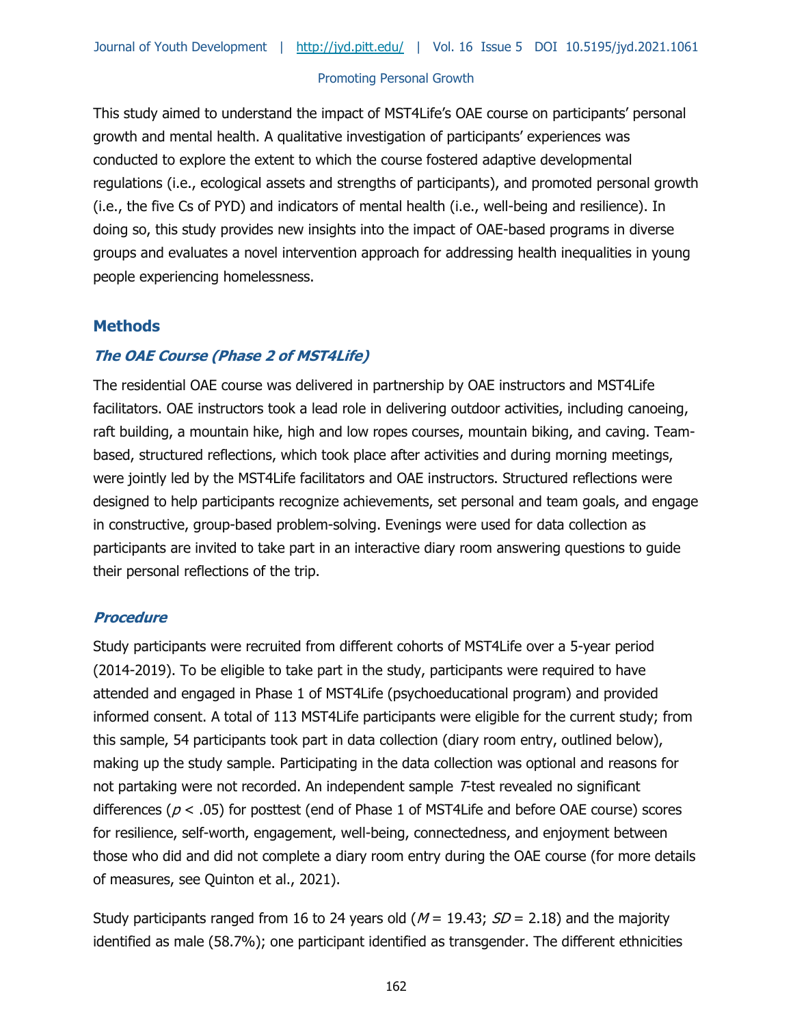This study aimed to understand the impact of MST4Life's OAE course on participants' personal growth and mental health. A qualitative investigation of participants' experiences was conducted to explore the extent to which the course fostered adaptive developmental regulations (i.e., ecological assets and strengths of participants), and promoted personal growth (i.e., the five Cs of PYD) and indicators of mental health (i.e., well-being and resilience). In doing so, this study provides new insights into the impact of OAE-based programs in diverse groups and evaluates a novel intervention approach for addressing health inequalities in young people experiencing homelessness.

# **Methods**

# **The OAE Course (Phase 2 of MST4Life)**

The residential OAE course was delivered in partnership by OAE instructors and MST4Life facilitators. OAE instructors took a lead role in delivering outdoor activities, including canoeing, raft building, a mountain hike, high and low ropes courses, mountain biking, and caving. Teambased, structured reflections, which took place after activities and during morning meetings, were jointly led by the MST4Life facilitators and OAE instructors. Structured reflections were designed to help participants recognize achievements, set personal and team goals, and engage in constructive, group-based problem-solving. Evenings were used for data collection as participants are invited to take part in an interactive diary room answering questions to guide their personal reflections of the trip.

## **Procedure**

Study participants were recruited from different cohorts of MST4Life over a 5-year period (2014-2019). To be eligible to take part in the study, participants were required to have attended and engaged in Phase 1 of MST4Life (psychoeducational program) and provided informed consent. A total of 113 MST4Life participants were eligible for the current study; from this sample, 54 participants took part in data collection (diary room entry, outlined below), making up the study sample. Participating in the data collection was optional and reasons for not partaking were not recorded. An independent sample T-test revealed no significant differences ( $p < .05$ ) for posttest (end of Phase 1 of MST4Life and before OAE course) scores for resilience, self-worth, engagement, well-being, connectedness, and enjoyment between those who did and did not complete a diary room entry during the OAE course (for more details of measures, see Quinton et al., 2021).

Study participants ranged from 16 to 24 years old ( $M = 19.43$ ;  $SD = 2.18$ ) and the majority identified as male (58.7%); one participant identified as transgender. The different ethnicities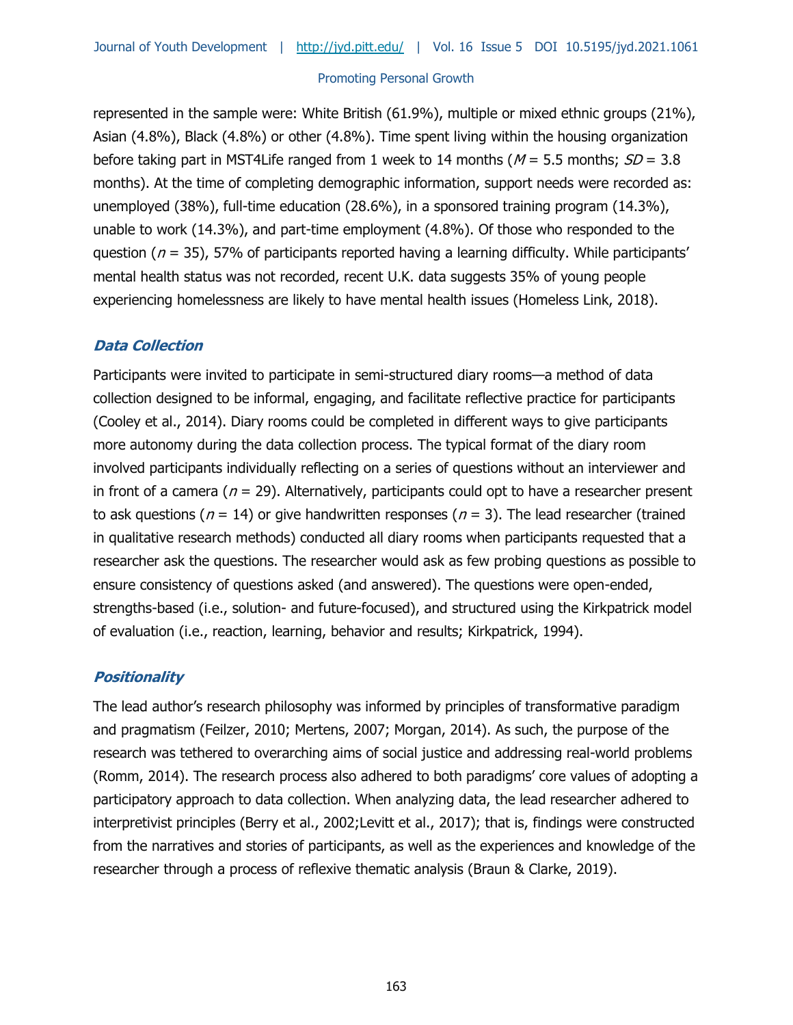represented in the sample were: White British (61.9%), multiple or mixed ethnic groups (21%), Asian (4.8%), Black (4.8%) or other (4.8%). Time spent living within the housing organization before taking part in MST4Life ranged from 1 week to 14 months ( $M = 5.5$  months;  $SD = 3.8$ ) months). At the time of completing demographic information, support needs were recorded as: unemployed (38%), full-time education (28.6%), in a sponsored training program (14.3%), unable to work (14.3%), and part-time employment (4.8%). Of those who responded to the question ( $n = 35$ ), 57% of participants reported having a learning difficulty. While participants' mental health status was not recorded, recent U.K. data suggests 35% of young people experiencing homelessness are likely to have mental health issues (Homeless Link, 2018).

# **Data Collection**

Participants were invited to participate in semi-structured diary rooms—a method of data collection designed to be informal, engaging, and facilitate reflective practice for participants (Cooley et al., 2014). Diary rooms could be completed in different ways to give participants more autonomy during the data collection process. The typical format of the diary room involved participants individually reflecting on a series of questions without an interviewer and in front of a camera ( $n = 29$ ). Alternatively, participants could opt to have a researcher present to ask questions ( $n = 14$ ) or give handwritten responses ( $n = 3$ ). The lead researcher (trained in qualitative research methods) conducted all diary rooms when participants requested that a researcher ask the questions. The researcher would ask as few probing questions as possible to ensure consistency of questions asked (and answered). The questions were open-ended, strengths-based (i.e., solution- and future-focused), and structured using the Kirkpatrick model of evaluation (i.e., reaction, learning, behavior and results; Kirkpatrick, 1994).

# **Positionality**

The lead author's research philosophy was informed by principles of transformative paradigm and pragmatism (Feilzer, 2010; Mertens, 2007; Morgan, 2014). As such, the purpose of the research was tethered to overarching aims of social justice and addressing real-world problems (Romm, 2014). The research process also adhered to both paradigms' core values of adopting a participatory approach to data collection. When analyzing data, the lead researcher adhered to interpretivist principles (Berry et al., 2002;Levitt et al., 2017); that is, findings were constructed from the narratives and stories of participants, as well as the experiences and knowledge of the researcher through a process of reflexive thematic analysis (Braun & Clarke, 2019).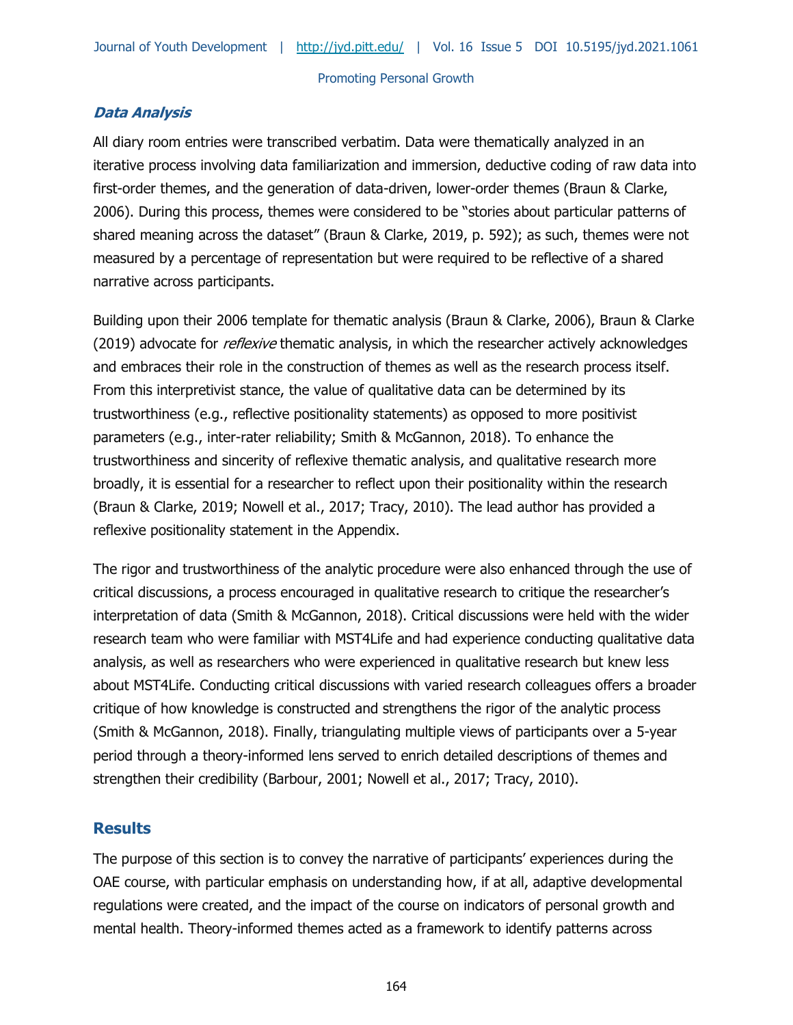# **Data Analysis**

All diary room entries were transcribed verbatim. Data were thematically analyzed in an iterative process involving data familiarization and immersion, deductive coding of raw data into first-order themes, and the generation of data-driven, lower-order themes (Braun & Clarke, 2006). During this process, themes were considered to be "stories about particular patterns of shared meaning across the dataset" (Braun & Clarke, 2019, p. 592); as such, themes were not measured by a percentage of representation but were required to be reflective of a shared narrative across participants.

Building upon their 2006 template for thematic analysis (Braun & Clarke, 2006), Braun & Clarke (2019) advocate for *reflexive* thematic analysis, in which the researcher actively acknowledges and embraces their role in the construction of themes as well as the research process itself. From this interpretivist stance, the value of qualitative data can be determined by its trustworthiness (e.g., reflective positionality statements) as opposed to more positivist parameters (e.g., inter-rater reliability; Smith & McGannon, 2018). To enhance the trustworthiness and sincerity of reflexive thematic analysis, and qualitative research more broadly, it is essential for a researcher to reflect upon their positionality within the research (Braun & Clarke, 2019; Nowell et al., 2017; Tracy, 2010). The lead author has provided a reflexive positionality statement in the Appendix.

The rigor and trustworthiness of the analytic procedure were also enhanced through the use of critical discussions, a process encouraged in qualitative research to critique the researcher's interpretation of data (Smith & McGannon, 2018). Critical discussions were held with the wider research team who were familiar with MST4Life and had experience conducting qualitative data analysis, as well as researchers who were experienced in qualitative research but knew less about MST4Life. Conducting critical discussions with varied research colleagues offers a broader critique of how knowledge is constructed and strengthens the rigor of the analytic process (Smith & McGannon, 2018). Finally, triangulating multiple views of participants over a 5-year period through a theory-informed lens served to enrich detailed descriptions of themes and strengthen their credibility (Barbour, 2001; Nowell et al., 2017; Tracy, 2010).

# **Results**

The purpose of this section is to convey the narrative of participants' experiences during the OAE course, with particular emphasis on understanding how, if at all, adaptive developmental regulations were created, and the impact of the course on indicators of personal growth and mental health. Theory-informed themes acted as a framework to identify patterns across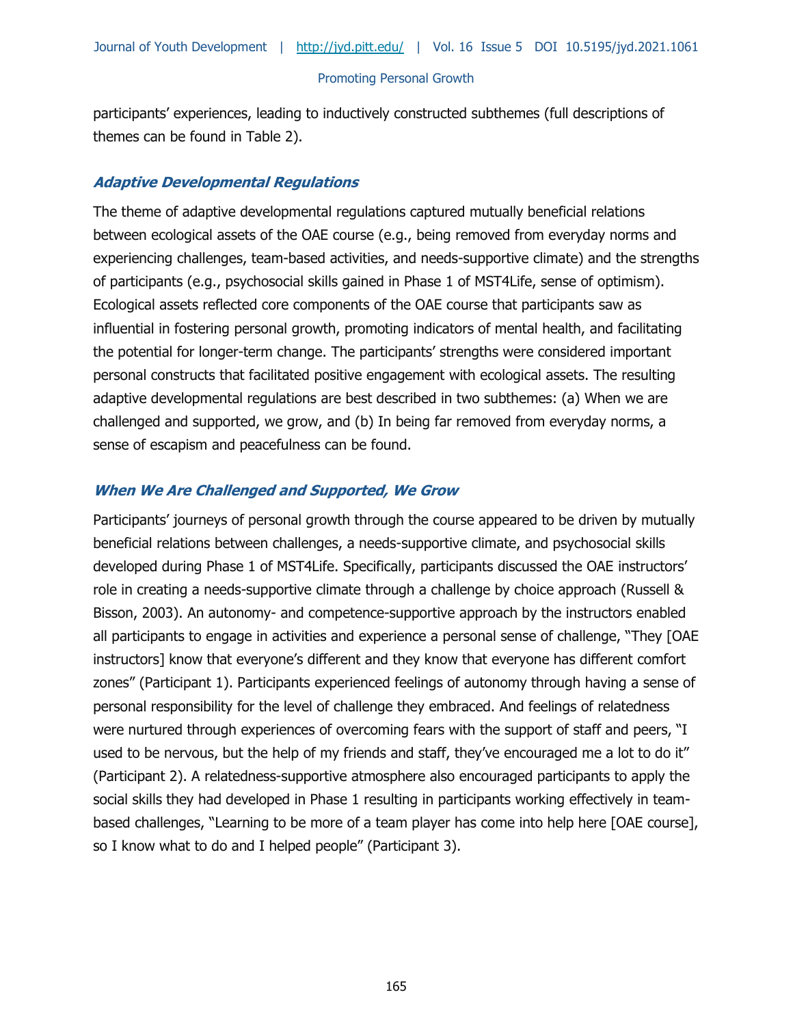participants' experiences, leading to inductively constructed subthemes (full descriptions of themes can be found in Table 2).

# **Adaptive Developmental Regulations**

The theme of adaptive developmental regulations captured mutually beneficial relations between ecological assets of the OAE course (e.g., being removed from everyday norms and experiencing challenges, team-based activities, and needs-supportive climate) and the strengths of participants (e.g., psychosocial skills gained in Phase 1 of MST4Life, sense of optimism). Ecological assets reflected core components of the OAE course that participants saw as influential in fostering personal growth, promoting indicators of mental health, and facilitating the potential for longer-term change. The participants' strengths were considered important personal constructs that facilitated positive engagement with ecological assets. The resulting adaptive developmental regulations are best described in two subthemes: (a) When we are challenged and supported, we grow, and (b) In being far removed from everyday norms, a sense of escapism and peacefulness can be found.

# **When We Are Challenged and Supported, We Grow**

Participants' journeys of personal growth through the course appeared to be driven by mutually beneficial relations between challenges, a needs-supportive climate, and psychosocial skills developed during Phase 1 of MST4Life. Specifically, participants discussed the OAE instructors' role in creating a needs-supportive climate through a challenge by choice approach (Russell & Bisson, 2003). An autonomy- and competence-supportive approach by the instructors enabled all participants to engage in activities and experience a personal sense of challenge, "They [OAE instructors] know that everyone's different and they know that everyone has different comfort zones" (Participant 1). Participants experienced feelings of autonomy through having a sense of personal responsibility for the level of challenge they embraced. And feelings of relatedness were nurtured through experiences of overcoming fears with the support of staff and peers, "I used to be nervous, but the help of my friends and staff, they've encouraged me a lot to do it" (Participant 2). A relatedness-supportive atmosphere also encouraged participants to apply the social skills they had developed in Phase 1 resulting in participants working effectively in teambased challenges, "Learning to be more of a team player has come into help here [OAE course], so I know what to do and I helped people" (Participant 3).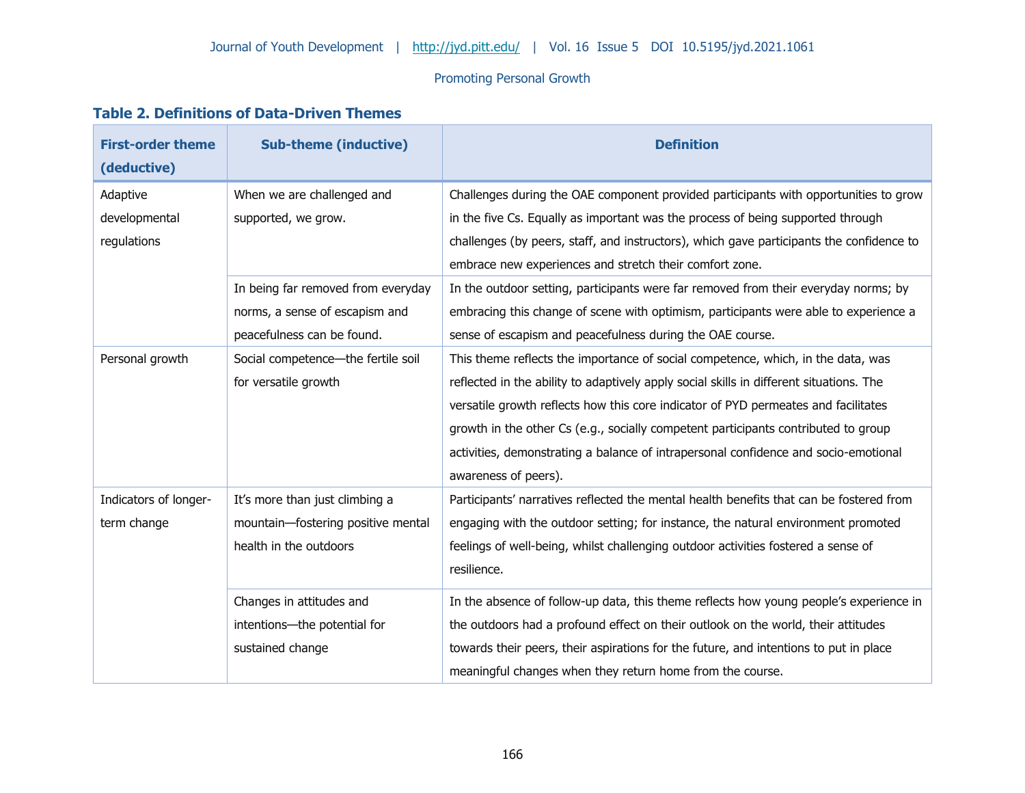# **Table 2. Definitions of Data-Driven Themes**

| <b>First-order theme</b><br>(deductive) | <b>Sub-theme (inductive)</b>       | <b>Definition</b>                                                                        |
|-----------------------------------------|------------------------------------|------------------------------------------------------------------------------------------|
| Adaptive                                | When we are challenged and         | Challenges during the OAE component provided participants with opportunities to grow     |
| developmental                           | supported, we grow.                | in the five Cs. Equally as important was the process of being supported through          |
| regulations                             |                                    | challenges (by peers, staff, and instructors), which gave participants the confidence to |
|                                         |                                    | embrace new experiences and stretch their comfort zone.                                  |
|                                         | In being far removed from everyday | In the outdoor setting, participants were far removed from their everyday norms; by      |
|                                         | norms, a sense of escapism and     | embracing this change of scene with optimism, participants were able to experience a     |
|                                         | peacefulness can be found.         | sense of escapism and peacefulness during the OAE course.                                |
| Personal growth                         | Social competence-the fertile soil | This theme reflects the importance of social competence, which, in the data, was         |
|                                         | for versatile growth               | reflected in the ability to adaptively apply social skills in different situations. The  |
|                                         |                                    | versatile growth reflects how this core indicator of PYD permeates and facilitates       |
|                                         |                                    | growth in the other Cs (e.g., socially competent participants contributed to group       |
|                                         |                                    | activities, demonstrating a balance of intrapersonal confidence and socio-emotional      |
|                                         |                                    | awareness of peers).                                                                     |
| Indicators of longer-                   | It's more than just climbing a     | Participants' narratives reflected the mental health benefits that can be fostered from  |
| term change                             | mountain-fostering positive mental | engaging with the outdoor setting; for instance, the natural environment promoted        |
|                                         | health in the outdoors             | feelings of well-being, whilst challenging outdoor activities fostered a sense of        |
|                                         |                                    | resilience.                                                                              |
|                                         | Changes in attitudes and           | In the absence of follow-up data, this theme reflects how young people's experience in   |
|                                         | intentions-the potential for       | the outdoors had a profound effect on their outlook on the world, their attitudes        |
|                                         | sustained change                   | towards their peers, their aspirations for the future, and intentions to put in place    |
|                                         |                                    | meaningful changes when they return home from the course.                                |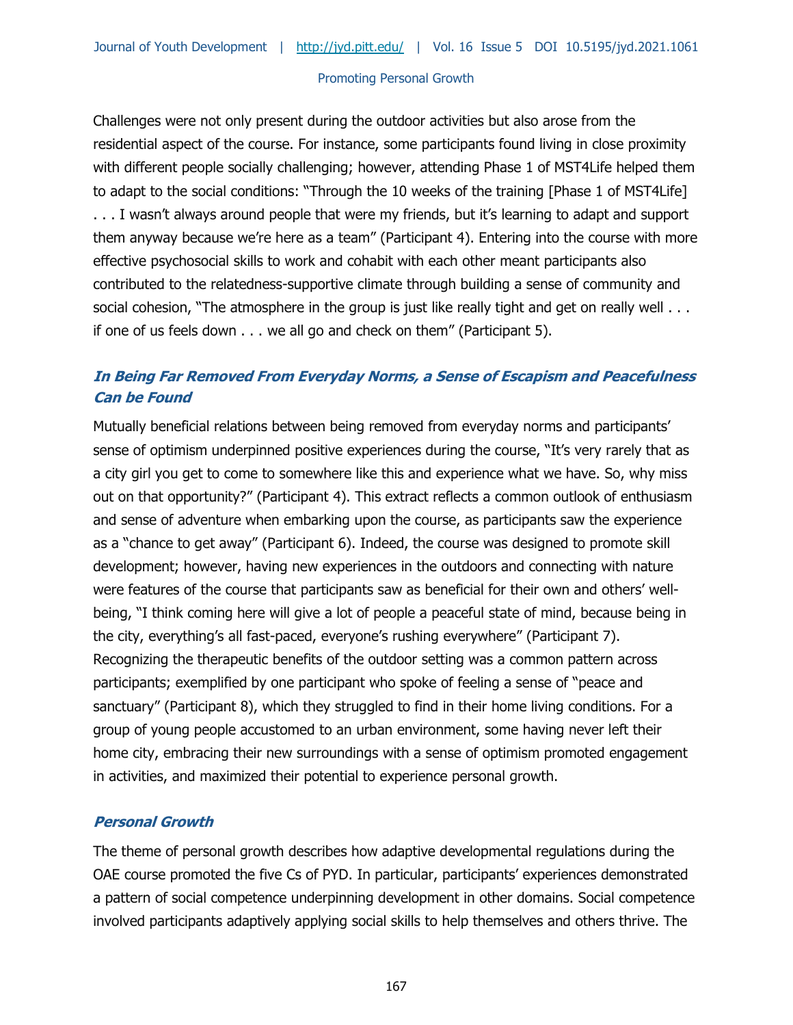Challenges were not only present during the outdoor activities but also arose from the residential aspect of the course. For instance, some participants found living in close proximity with different people socially challenging; however, attending Phase 1 of MST4Life helped them to adapt to the social conditions: "Through the 10 weeks of the training [Phase 1 of MST4Life] . . . I wasn't always around people that were my friends, but it's learning to adapt and support them anyway because we're here as a team" (Participant 4). Entering into the course with more effective psychosocial skills to work and cohabit with each other meant participants also contributed to the relatedness-supportive climate through building a sense of community and social cohesion, "The atmosphere in the group is just like really tight and get on really well . . . if one of us feels down . . . we all go and check on them" (Participant 5).

# **In Being Far Removed From Everyday Norms, a Sense of Escapism and Peacefulness Can be Found**

Mutually beneficial relations between being removed from everyday norms and participants' sense of optimism underpinned positive experiences during the course, "It's very rarely that as a city girl you get to come to somewhere like this and experience what we have. So, why miss out on that opportunity?" (Participant 4). This extract reflects a common outlook of enthusiasm and sense of adventure when embarking upon the course, as participants saw the experience as a "chance to get away" (Participant 6). Indeed, the course was designed to promote skill development; however, having new experiences in the outdoors and connecting with nature were features of the course that participants saw as beneficial for their own and others' wellbeing, "I think coming here will give a lot of people a peaceful state of mind, because being in the city, everything's all fast-paced, everyone's rushing everywhere" (Participant 7). Recognizing the therapeutic benefits of the outdoor setting was a common pattern across participants; exemplified by one participant who spoke of feeling a sense of "peace and sanctuary" (Participant 8), which they struggled to find in their home living conditions. For a group of young people accustomed to an urban environment, some having never left their home city, embracing their new surroundings with a sense of optimism promoted engagement in activities, and maximized their potential to experience personal growth.

## **Personal Growth**

The theme of personal growth describes how adaptive developmental regulations during the OAE course promoted the five Cs of PYD. In particular, participants' experiences demonstrated a pattern of social competence underpinning development in other domains. Social competence involved participants adaptively applying social skills to help themselves and others thrive. The

167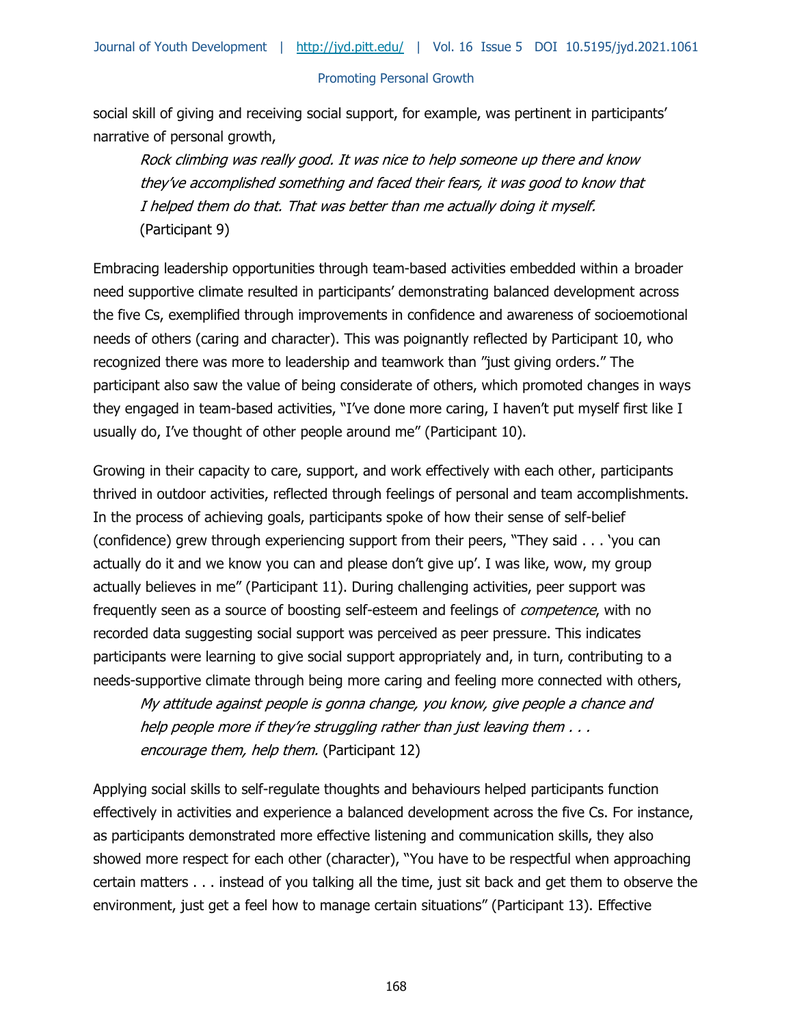social skill of giving and receiving social support, for example, was pertinent in participants' narrative of personal growth,

Rock climbing was really good. It was nice to help someone up there and know they've accomplished something and faced their fears, it was good to know that I helped them do that. That was better than me actually doing it myself. (Participant 9)

Embracing leadership opportunities through team-based activities embedded within a broader need supportive climate resulted in participants' demonstrating balanced development across the five Cs, exemplified through improvements in confidence and awareness of socioemotional needs of others (caring and character). This was poignantly reflected by Participant 10, who recognized there was more to leadership and teamwork than "just giving orders." The participant also saw the value of being considerate of others, which promoted changes in ways they engaged in team-based activities, "I've done more caring, I haven't put myself first like I usually do, I've thought of other people around me" (Participant 10).

Growing in their capacity to care, support, and work effectively with each other, participants thrived in outdoor activities, reflected through feelings of personal and team accomplishments. In the process of achieving goals, participants spoke of how their sense of self-belief (confidence) grew through experiencing support from their peers, "They said . . . 'you can actually do it and we know you can and please don't give up'. I was like, wow, my group actually believes in me" (Participant 11). During challenging activities, peer support was frequently seen as a source of boosting self-esteem and feelings of *competence*, with no recorded data suggesting social support was perceived as peer pressure. This indicates participants were learning to give social support appropriately and, in turn, contributing to a needs-supportive climate through being more caring and feeling more connected with others,

My attitude against people is gonna change, you know, give people a chance and help people more if they're struggling rather than just leaving them . . . encourage them, help them. (Participant 12)

Applying social skills to self-regulate thoughts and behaviours helped participants function effectively in activities and experience a balanced development across the five Cs. For instance, as participants demonstrated more effective listening and communication skills, they also showed more respect for each other (character), "You have to be respectful when approaching certain matters . . . instead of you talking all the time, just sit back and get them to observe the environment, just get a feel how to manage certain situations" (Participant 13). Effective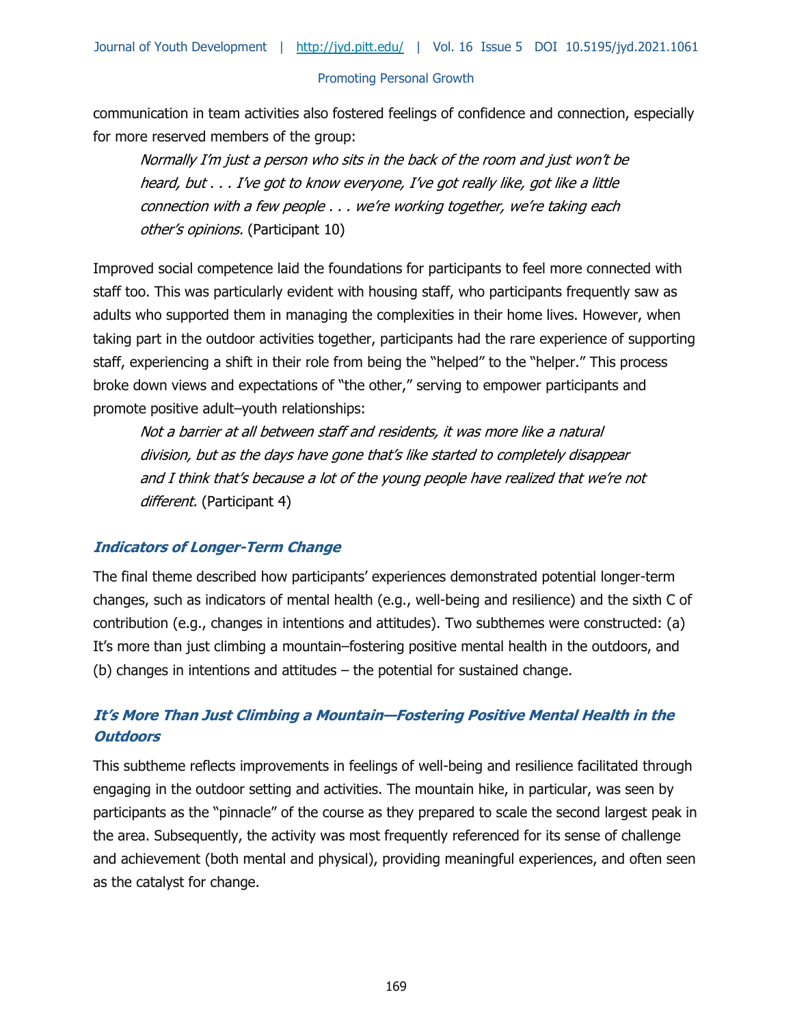communication in team activities also fostered feelings of confidence and connection, especially for more reserved members of the group:

Normally I'm just a person who sits in the back of the room and just won't be heard, but . . . I've got to know everyone, I've got really like, got like a little connection with a few people . . . we're working together, we're taking each other's opinions. (Participant 10)

Improved social competence laid the foundations for participants to feel more connected with staff too. This was particularly evident with housing staff, who participants frequently saw as adults who supported them in managing the complexities in their home lives. However, when taking part in the outdoor activities together, participants had the rare experience of supporting staff, experiencing a shift in their role from being the "helped" to the "helper." This process broke down views and expectations of "the other," serving to empower participants and promote positive adult–youth relationships:

Not a barrier at all between staff and residents, it was more like a natural division, but as the days have gone that's like started to completely disappear and I think that's because a lot of the young people have realized that we're not different. (Participant 4)

## **Indicators of Longer-Term Change**

The final theme described how participants' experiences demonstrated potential longer-term changes, such as indicators of mental health (e.g., well-being and resilience) and the sixth C of contribution (e.g., changes in intentions and attitudes). Two subthemes were constructed: (a) It's more than just climbing a mountain–fostering positive mental health in the outdoors, and (b) changes in intentions and attitudes – the potential for sustained change.

# **It's More Than Just Climbing a Mountain—Fostering Positive Mental Health in the Outdoors**

This subtheme reflects improvements in feelings of well-being and resilience facilitated through engaging in the outdoor setting and activities. The mountain hike, in particular, was seen by participants as the "pinnacle" of the course as they prepared to scale the second largest peak in the area. Subsequently, the activity was most frequently referenced for its sense of challenge and achievement (both mental and physical), providing meaningful experiences, and often seen as the catalyst for change.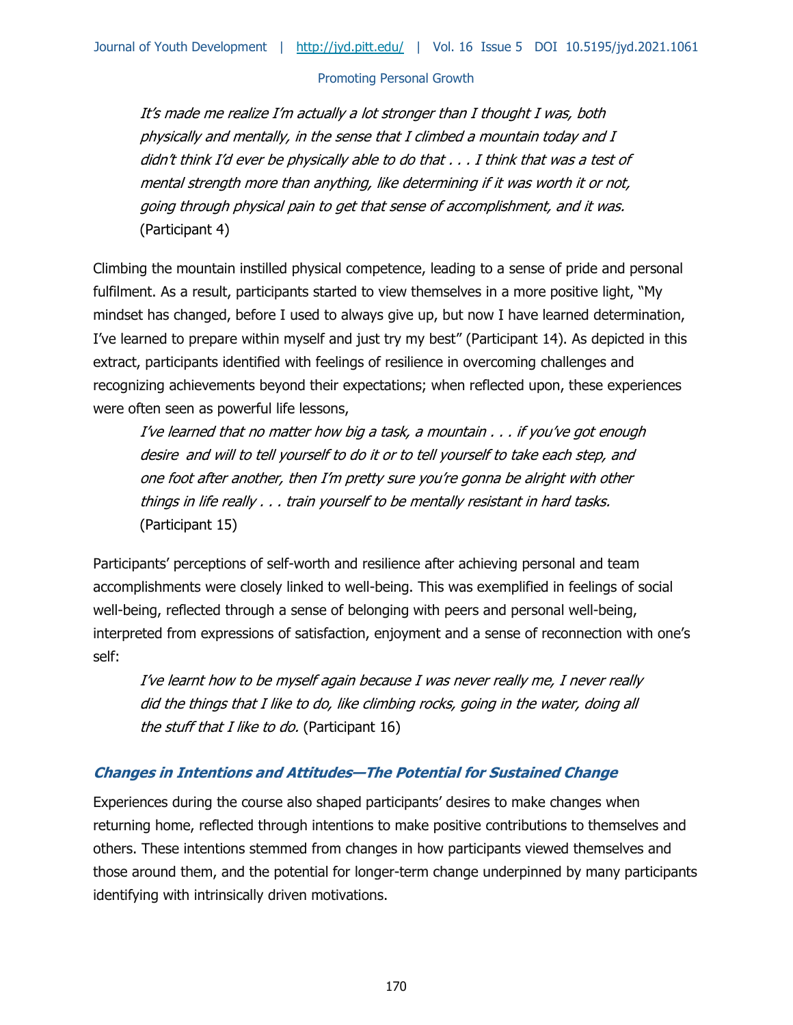It's made me realize I'm actually a lot stronger than I thought I was, both physically and mentally, in the sense that I climbed a mountain today and I didn't think I'd ever be physically able to do that . . . I think that was a test of mental strength more than anything, like determining if it was worth it or not, going through physical pain to get that sense of accomplishment, and it was. (Participant 4)

Climbing the mountain instilled physical competence, leading to a sense of pride and personal fulfilment. As a result, participants started to view themselves in a more positive light, "My mindset has changed, before I used to always give up, but now I have learned determination, I've learned to prepare within myself and just try my best" (Participant 14). As depicted in this extract, participants identified with feelings of resilience in overcoming challenges and recognizing achievements beyond their expectations; when reflected upon, these experiences were often seen as powerful life lessons,

I've learned that no matter how big a task, a mountain . . . if you've got enough desire and will to tell yourself to do it or to tell yourself to take each step, and one foot after another, then I'm pretty sure you're gonna be alright with other things in life really . . . train yourself to be mentally resistant in hard tasks. (Participant 15)

Participants' perceptions of self-worth and resilience after achieving personal and team accomplishments were closely linked to well-being. This was exemplified in feelings of social well-being, reflected through a sense of belonging with peers and personal well-being, interpreted from expressions of satisfaction, enjoyment and a sense of reconnection with one's self:

I've learnt how to be myself again because I was never really me, I never really did the things that I like to do, like climbing rocks, going in the water, doing all the stuff that I like to do. (Participant 16)

# **Changes in Intentions and Attitudes—The Potential for Sustained Change**

Experiences during the course also shaped participants' desires to make changes when returning home, reflected through intentions to make positive contributions to themselves and others. These intentions stemmed from changes in how participants viewed themselves and those around them, and the potential for longer-term change underpinned by many participants identifying with intrinsically driven motivations.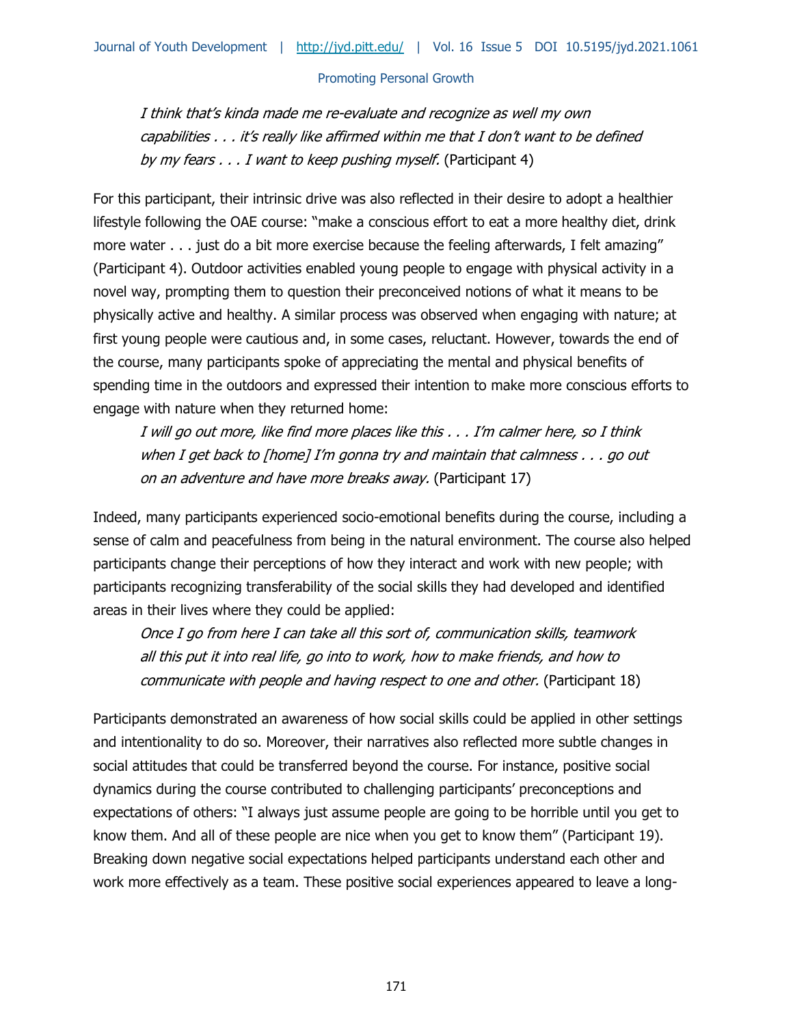I think that's kinda made me re-evaluate and recognize as well my own capabilities . . . it's really like affirmed within me that I don't want to be defined by my fears . . . I want to keep pushing myself. (Participant 4)

For this participant, their intrinsic drive was also reflected in their desire to adopt a healthier lifestyle following the OAE course: "make a conscious effort to eat a more healthy diet, drink more water . . . just do a bit more exercise because the feeling afterwards, I felt amazing" (Participant 4). Outdoor activities enabled young people to engage with physical activity in a novel way, prompting them to question their preconceived notions of what it means to be physically active and healthy. A similar process was observed when engaging with nature; at first young people were cautious and, in some cases, reluctant. However, towards the end of the course, many participants spoke of appreciating the mental and physical benefits of spending time in the outdoors and expressed their intention to make more conscious efforts to engage with nature when they returned home:

I will go out more, like find more places like this . . . I'm calmer here, so I think when I get back to [home] I'm gonna try and maintain that calmness . . . go out on an adventure and have more breaks away. (Participant 17)

Indeed, many participants experienced socio-emotional benefits during the course, including a sense of calm and peacefulness from being in the natural environment. The course also helped participants change their perceptions of how they interact and work with new people; with participants recognizing transferability of the social skills they had developed and identified areas in their lives where they could be applied:

Once I go from here I can take all this sort of, communication skills, teamwork all this put it into real life, go into to work, how to make friends, and how to communicate with people and having respect to one and other. (Participant 18)

Participants demonstrated an awareness of how social skills could be applied in other settings and intentionality to do so. Moreover, their narratives also reflected more subtle changes in social attitudes that could be transferred beyond the course. For instance, positive social dynamics during the course contributed to challenging participants' preconceptions and expectations of others: "I always just assume people are going to be horrible until you get to know them. And all of these people are nice when you get to know them" (Participant 19). Breaking down negative social expectations helped participants understand each other and work more effectively as a team. These positive social experiences appeared to leave a long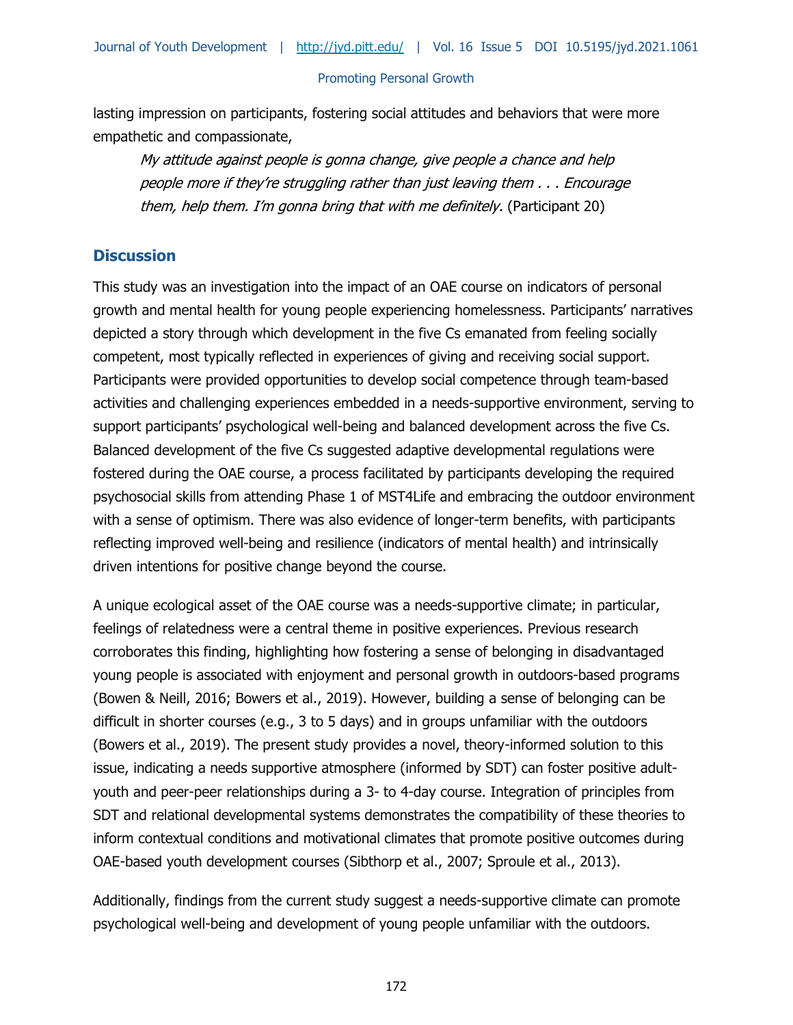Journal of Youth Development | <http://jyd.pitt.edu/>| Vol. 16 Issue 5 DOI 10.5195/jyd.2021.1061

#### Promoting Personal Growth

lasting impression on participants, fostering social attitudes and behaviors that were more empathetic and compassionate,

My attitude against people is gonna change, give people a chance and help people more if they're struggling rather than just leaving them . . . Encourage them, help them. I'm gonna bring that with me definitely. (Participant 20)

# **Discussion**

This study was an investigation into the impact of an OAE course on indicators of personal growth and mental health for young people experiencing homelessness. Participants' narratives depicted a story through which development in the five Cs emanated from feeling socially competent, most typically reflected in experiences of giving and receiving social support. Participants were provided opportunities to develop social competence through team-based activities and challenging experiences embedded in a needs-supportive environment, serving to support participants' psychological well-being and balanced development across the five Cs. Balanced development of the five Cs suggested adaptive developmental regulations were fostered during the OAE course, a process facilitated by participants developing the required psychosocial skills from attending Phase 1 of MST4Life and embracing the outdoor environment with a sense of optimism. There was also evidence of longer-term benefits, with participants reflecting improved well-being and resilience (indicators of mental health) and intrinsically driven intentions for positive change beyond the course.

A unique ecological asset of the OAE course was a needs-supportive climate; in particular, feelings of relatedness were a central theme in positive experiences. Previous research corroborates this finding, highlighting how fostering a sense of belonging in disadvantaged young people is associated with enjoyment and personal growth in outdoors-based programs (Bowen & Neill, 2016; Bowers et al., 2019). However, building a sense of belonging can be difficult in shorter courses (e.g., 3 to 5 days) and in groups unfamiliar with the outdoors (Bowers et al., 2019). The present study provides a novel, theory-informed solution to this issue, indicating a needs supportive atmosphere (informed by SDT) can foster positive adultyouth and peer-peer relationships during a 3- to 4-day course. Integration of principles from SDT and relational developmental systems demonstrates the compatibility of these theories to inform contextual conditions and motivational climates that promote positive outcomes during OAE-based youth development courses (Sibthorp et al., 2007; Sproule et al., 2013).

Additionally, findings from the current study suggest a needs-supportive climate can promote psychological well-being and development of young people unfamiliar with the outdoors.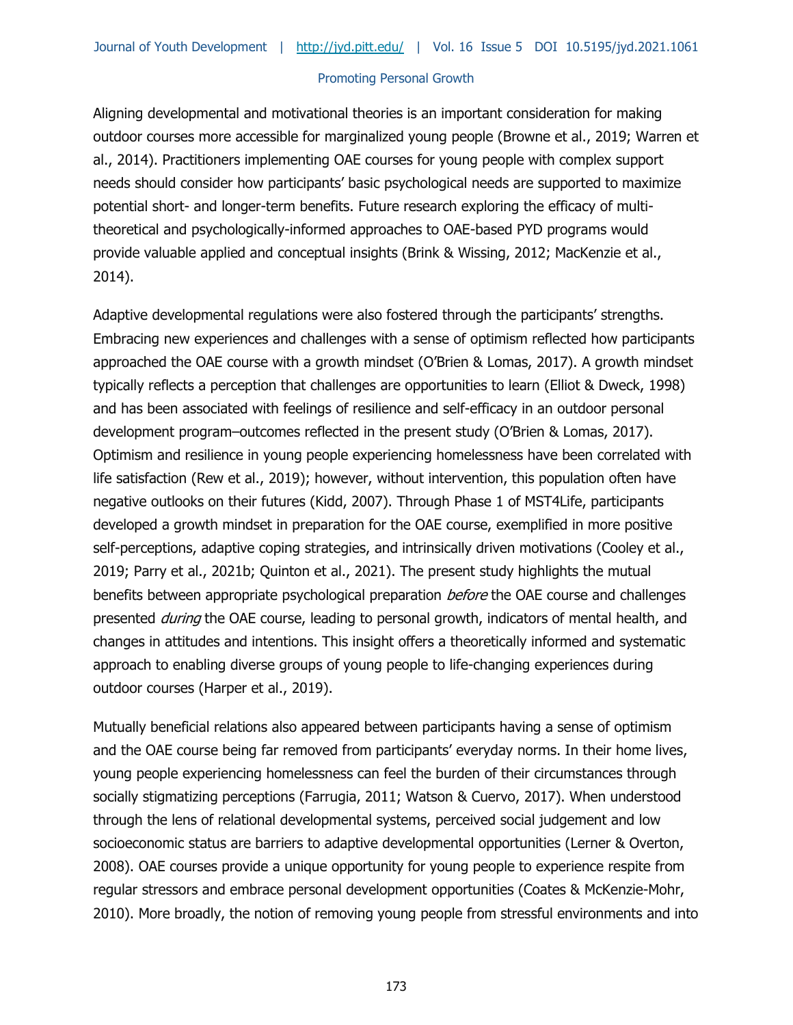Aligning developmental and motivational theories is an important consideration for making outdoor courses more accessible for marginalized young people (Browne et al., 2019; Warren et al., 2014). Practitioners implementing OAE courses for young people with complex support needs should consider how participants' basic psychological needs are supported to maximize potential short- and longer-term benefits. Future research exploring the efficacy of multitheoretical and psychologically-informed approaches to OAE-based PYD programs would provide valuable applied and conceptual insights (Brink & Wissing, 2012; MacKenzie et al., 2014).

Adaptive developmental regulations were also fostered through the participants' strengths. Embracing new experiences and challenges with a sense of optimism reflected how participants approached the OAE course with a growth mindset (O'Brien & Lomas, 2017). A growth mindset typically reflects a perception that challenges are opportunities to learn (Elliot & Dweck, 1998) and has been associated with feelings of resilience and self-efficacy in an outdoor personal development program–outcomes reflected in the present study (O'Brien & Lomas, 2017). Optimism and resilience in young people experiencing homelessness have been correlated with life satisfaction (Rew et al., 2019); however, without intervention, this population often have negative outlooks on their futures (Kidd, 2007). Through Phase 1 of MST4Life, participants developed a growth mindset in preparation for the OAE course, exemplified in more positive self-perceptions, adaptive coping strategies, and intrinsically driven motivations (Cooley et al., 2019; Parry et al., 2021b; Quinton et al., 2021). The present study highlights the mutual benefits between appropriate psychological preparation *before* the OAE course and challenges presented *during* the OAE course, leading to personal growth, indicators of mental health, and changes in attitudes and intentions. This insight offers a theoretically informed and systematic approach to enabling diverse groups of young people to life-changing experiences during outdoor courses (Harper et al., 2019).

Mutually beneficial relations also appeared between participants having a sense of optimism and the OAE course being far removed from participants' everyday norms. In their home lives, young people experiencing homelessness can feel the burden of their circumstances through socially stigmatizing perceptions (Farrugia, 2011; Watson & Cuervo, 2017). When understood through the lens of relational developmental systems, perceived social judgement and low socioeconomic status are barriers to adaptive developmental opportunities (Lerner & Overton, 2008). OAE courses provide a unique opportunity for young people to experience respite from regular stressors and embrace personal development opportunities (Coates & McKenzie-Mohr, 2010). More broadly, the notion of removing young people from stressful environments and into

173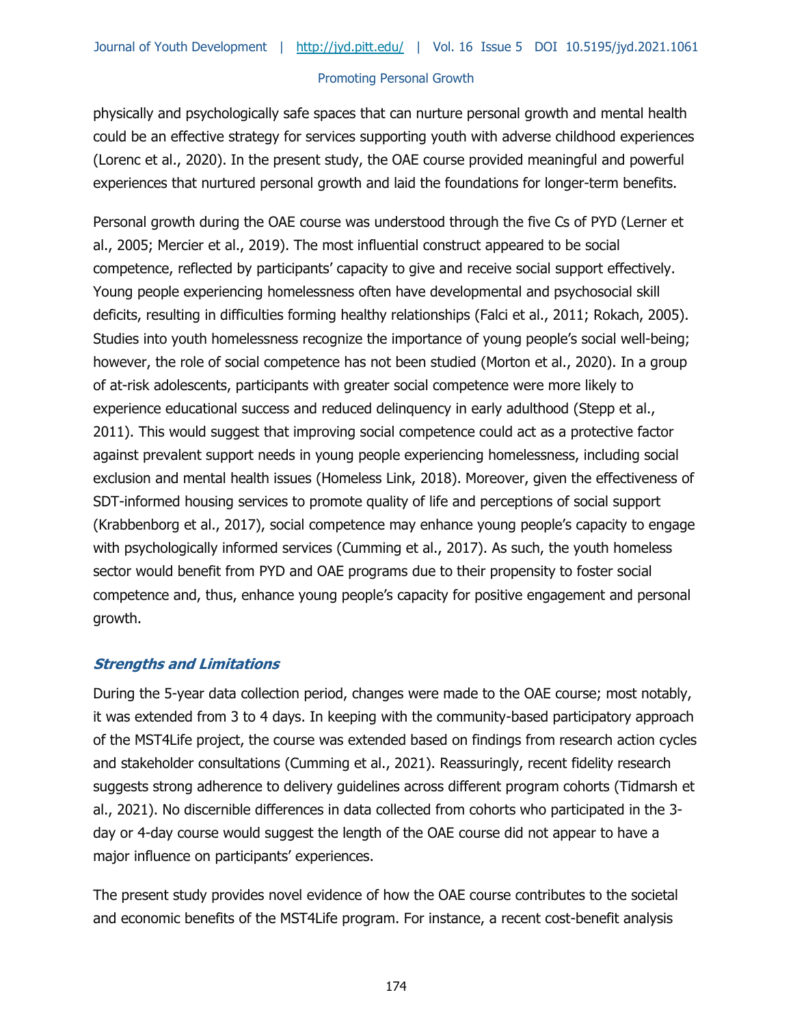physically and psychologically safe spaces that can nurture personal growth and mental health could be an effective strategy for services supporting youth with adverse childhood experiences (Lorenc et al., 2020). In the present study, the OAE course provided meaningful and powerful experiences that nurtured personal growth and laid the foundations for longer-term benefits.

Personal growth during the OAE course was understood through the five Cs of PYD (Lerner et al., 2005; Mercier et al., 2019). The most influential construct appeared to be social competence, reflected by participants' capacity to give and receive social support effectively. Young people experiencing homelessness often have developmental and psychosocial skill deficits, resulting in difficulties forming healthy relationships (Falci et al., 2011; Rokach, 2005). Studies into youth homelessness recognize the importance of young people's social well-being; however, the role of social competence has not been studied (Morton et al., 2020). In a group of at-risk adolescents, participants with greater social competence were more likely to experience educational success and reduced delinquency in early adulthood (Stepp et al., 2011). This would suggest that improving social competence could act as a protective factor against prevalent support needs in young people experiencing homelessness, including social exclusion and mental health issues (Homeless Link, 2018). Moreover, given the effectiveness of SDT-informed housing services to promote quality of life and perceptions of social support (Krabbenborg et al., 2017), social competence may enhance young people's capacity to engage with psychologically informed services (Cumming et al., 2017). As such, the youth homeless sector would benefit from PYD and OAE programs due to their propensity to foster social competence and, thus, enhance young people's capacity for positive engagement and personal growth.

## **Strengths and Limitations**

During the 5-year data collection period, changes were made to the OAE course; most notably, it was extended from 3 to 4 days. In keeping with the community-based participatory approach of the MST4Life project, the course was extended based on findings from research action cycles and stakeholder consultations (Cumming et al., 2021). Reassuringly, recent fidelity research suggests strong adherence to delivery guidelines across different program cohorts (Tidmarsh et al., 2021). No discernible differences in data collected from cohorts who participated in the 3 day or 4-day course would suggest the length of the OAE course did not appear to have a major influence on participants' experiences.

The present study provides novel evidence of how the OAE course contributes to the societal and economic benefits of the MST4Life program. For instance, a recent cost-benefit analysis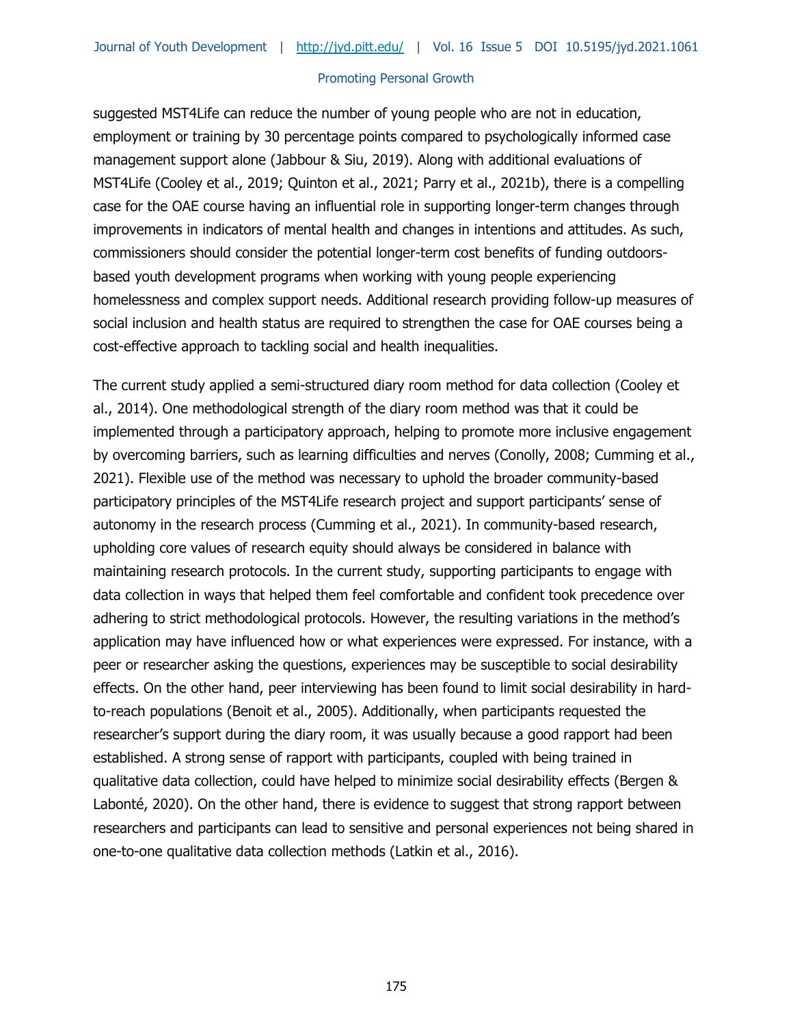suggested MST4Life can reduce the number of young people who are not in education, employment or training by 30 percentage points compared to psychologically informed case management support alone (Jabbour & Siu, 2019). Along with additional evaluations of MST4Life (Cooley et al., 2019; Quinton et al., 2021; Parry et al., 2021b), there is a compelling case for the OAE course having an influential role in supporting longer-term changes through improvements in indicators of mental health and changes in intentions and attitudes. As such, commissioners should consider the potential longer-term cost benefits of funding outdoorsbased youth development programs when working with young people experiencing homelessness and complex support needs. Additional research providing follow-up measures of social inclusion and health status are required to strengthen the case for OAE courses being a cost-effective approach to tackling social and health inequalities.

The current study applied a semi-structured diary room method for data collection (Cooley et al., 2014). One methodological strength of the diary room method was that it could be implemented through a participatory approach, helping to promote more inclusive engagement by overcoming barriers, such as learning difficulties and nerves (Conolly, 2008; Cumming et al., 2021). Flexible use of the method was necessary to uphold the broader community-based participatory principles of the MST4Life research project and support participants' sense of autonomy in the research process (Cumming et al., 2021). In community-based research, upholding core values of research equity should always be considered in balance with maintaining research protocols. In the current study, supporting participants to engage with data collection in ways that helped them feel comfortable and confident took precedence over adhering to strict methodological protocols. However, the resulting variations in the method's application may have influenced how or what experiences were expressed. For instance, with a peer or researcher asking the questions, experiences may be susceptible to social desirability effects. On the other hand, peer interviewing has been found to limit social desirability in hardto-reach populations (Benoit et al., 2005). Additionally, when participants requested the researcher's support during the diary room, it was usually because a good rapport had been established. A strong sense of rapport with participants, coupled with being trained in qualitative data collection, could have helped to minimize social desirability effects (Bergen & Labonté, 2020). On the other hand, there is evidence to suggest that strong rapport between researchers and participants can lead to sensitive and personal experiences not being shared in one-to-one qualitative data collection methods (Latkin et al., 2016).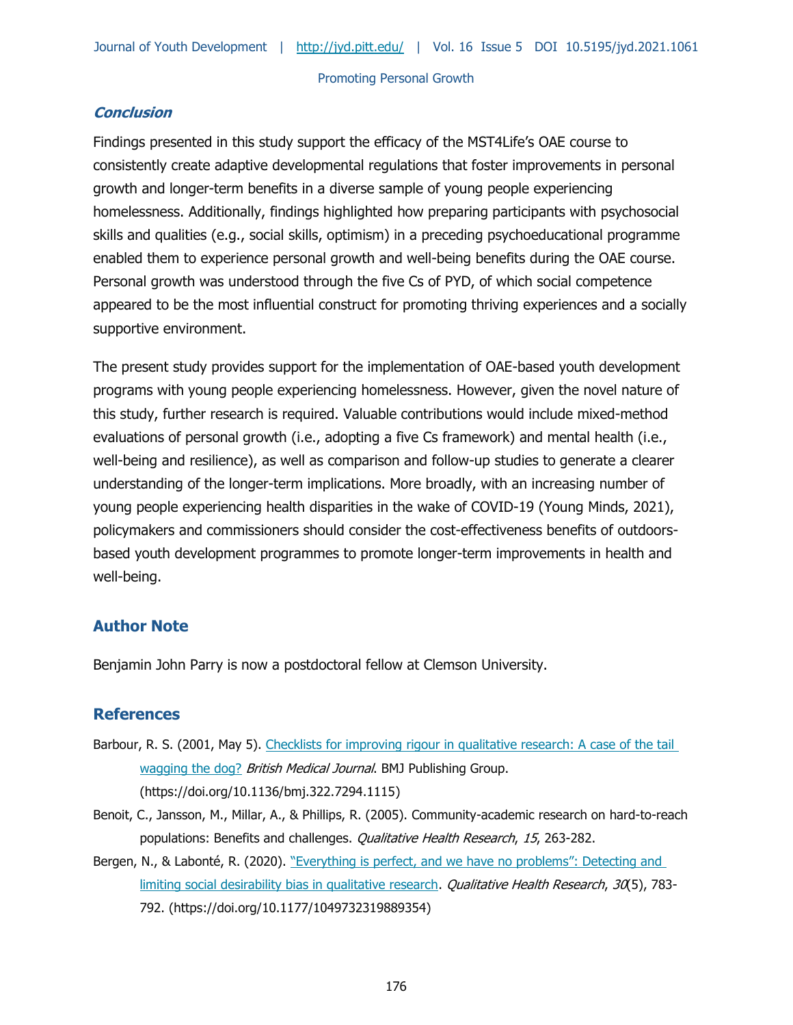# **Conclusion**

Findings presented in this study support the efficacy of the MST4Life's OAE course to consistently create adaptive developmental regulations that foster improvements in personal growth and longer-term benefits in a diverse sample of young people experiencing homelessness. Additionally, findings highlighted how preparing participants with psychosocial skills and qualities (e.g., social skills, optimism) in a preceding psychoeducational programme enabled them to experience personal growth and well-being benefits during the OAE course. Personal growth was understood through the five Cs of PYD, of which social competence appeared to be the most influential construct for promoting thriving experiences and a socially supportive environment.

The present study provides support for the implementation of OAE-based youth development programs with young people experiencing homelessness. However, given the novel nature of this study, further research is required. Valuable contributions would include mixed-method evaluations of personal growth (i.e., adopting a five Cs framework) and mental health (i.e., well-being and resilience), as well as comparison and follow-up studies to generate a clearer understanding of the longer-term implications. More broadly, with an increasing number of young people experiencing health disparities in the wake of COVID-19 (Young Minds, 2021), policymakers and commissioners should consider the cost-effectiveness benefits of outdoorsbased youth development programmes to promote longer-term improvements in health and well-being.

# **Author Note**

Benjamin John Parry is now a postdoctoral fellow at Clemson University.

# **References**

- Barbour, R. S. (2001, May 5). Checklists for improving rigour in qualitative research: A case of the tail [wagging the dog?](https://doi.org/10.1136/bmj.322.7294.1115) British Medical Journal. BMJ Publishing Group. (https://doi.org/10.1136/bmj.322.7294.1115)
- Benoit, C., Jansson, M., Millar, A., & Phillips, R. (2005). Community-academic research on hard-to-reach populations: Benefits and challenges. *Qualitative Health Research*, 15, 263-282.
- Bergen, N., & Labonté, R. (2020). "Everything is perfect, and we have no problems": Detecting and [limiting social desirability bias in qualitative research.](https://doi.org/10.1177/1049732319889354) *Qualitative Health Research, 30*(5), 783-792. (https://doi.org/10.1177/1049732319889354)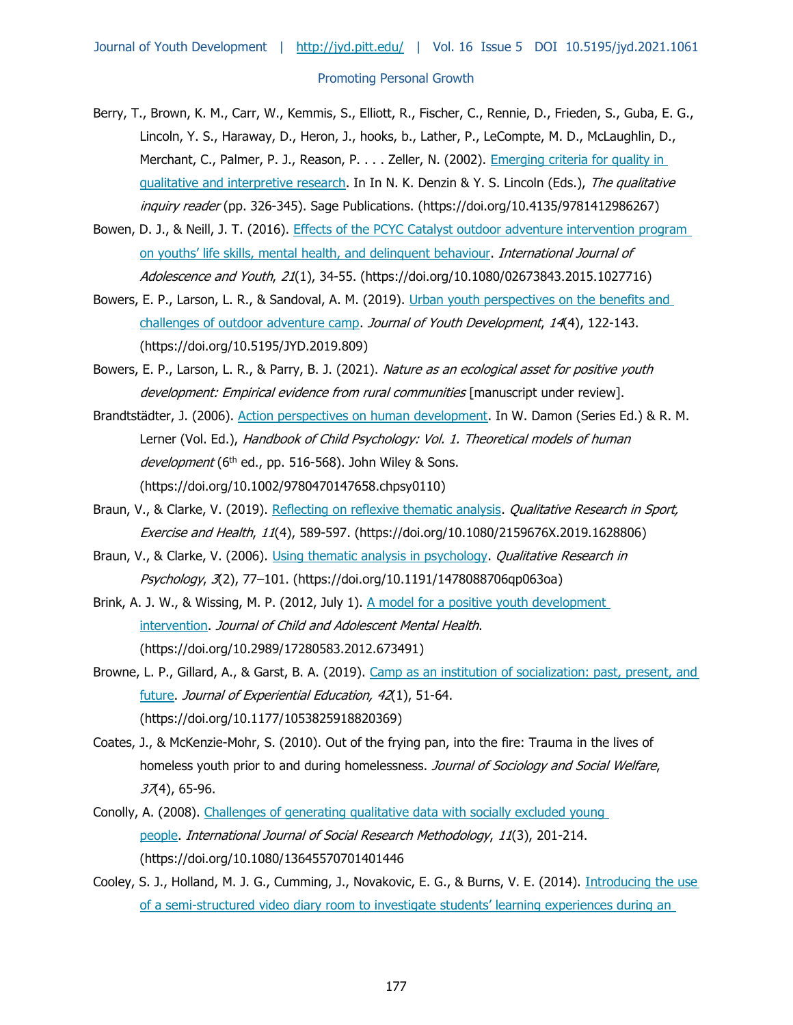- Berry, T., Brown, K. M., Carr, W., Kemmis, S., Elliott, R., Fischer, C., Rennie, D., Frieden, S., Guba, E. G., Lincoln, Y. S., Haraway, D., Heron, J., hooks, b., Lather, P., LeCompte, M. D., McLaughlin, D., Merchant, C., Palmer, P. J., Reason, P. . . . Zeller, N. (2002). [Emerging criteria for quality in](https://doi.org/10.4135/9781412986267)  [qualitative and interpretive research.](https://doi.org/10.4135/9781412986267) In In N. K. Denzin & Y. S. Lincoln (Eds.), The qualitative inquiry reader (pp. 326-345). Sage Publications. (https://doi.org/10.4135/9781412986267)
- Bowen, D. J., & Neill, J. T. (2016). [Effects of the PCYC Catalyst outdoor adventure intervention program](https://doi.org/10.1080/02673843.2015.1027716)  [on youths' life skills, mental health, and delinqu](https://doi.org/10.1080/02673843.2015.1027716)ent behaviour. International Journal of Adolescence and Youth, 21(1), 34-55. (https://doi.org/10.1080/02673843.2015.1027716)
- Bowers, E. P., Larson, L. R., & Sandoval, A. M. (2019). Urban youth perspectives on the benefits and [challenges of outdoor adventure camp.](https://doi.org/10.5195/JYD.2019.809) Journal of Youth Development, 14(4), 122-143. (https://doi.org/10.5195/JYD.2019.809)
- Bowers, E. P., Larson, L. R., & Parry, B. J. (2021). Nature as an ecological asset for positive youth development: Empirical evidence from rural communities [manuscript under review].
- Brandtstädter, J. (2006). [Action perspectives on human development.](https://doi.org/10.1002/9780470147658.chpsy0110) In W. Damon (Series Ed.) & R. M. Lerner (Vol. Ed.), Handbook of Child Psychology: Vol. 1. Theoretical models of human development (6<sup>th</sup> ed., pp. 516-568). John Wiley & Sons. (https://doi.org/10.1002/9780470147658.chpsy0110)
- Braun, V., & Clarke, V. (2019). [Reflecting on reflexive thematic analysis.](https://doi.org/10.1080/2159676X.2019.1628806) Qualitative Research in Sport, Exercise and Health, 11(4), 589-597. (https://doi.org/10.1080/2159676X.2019.1628806)
- Braun, V., & Clarke, V. (2006). [Using thematic analysis in psychology.](https://doi.org/10.1191/1478088706qp063oa) *Qualitative Research in* Psychology, 3(2), 77–101. (https://doi.org/10.1191/1478088706qp063oa)
- Brink, A. J. W., & Wissing, M. P. (2012, July 1). A model for a positive youth development [intervention.](https://doi.org/10.2989/17280583.2012.673491) Journal of Child and Adolescent Mental Health. (https://doi.org/10.2989/17280583.2012.673491)
- Browne, L. P., Gillard, A., & Garst, B. A. (2019). Camp as an institution of socialization: past, present, and [future.](https://doi.org/10.1177/1053825918820369) Journal of Experiential Education, 42(1), 51-64. (https://doi.org/10.1177/1053825918820369)
- Coates, J., & McKenzie-Mohr, S. (2010). Out of the frying pan, into the fire: Trauma in the lives of homeless youth prior to and during homelessness. Journal of Sociology and Social Welfare,  $37(4)$ , 65-96.
- Conolly, A. (2008). [Challenges of generating qualitative data with socially excluded young](https://doi.org/10.1080/13645570701401446)  [people.](https://doi.org/10.1080/13645570701401446) International Journal of Social Research Methodology, 11(3), 201-214. (https://doi.org/10.1080/13645570701401446
- Cooley, S. J., Holland, M. J. G., Cumming, J., Novakovic, E. G., & Burns, V. E. (2014). Introducing the use of a semi-[structured video diary room to investigate students' learning experiences during an](https://doi.org/10.1007/s10734-013-9645-5)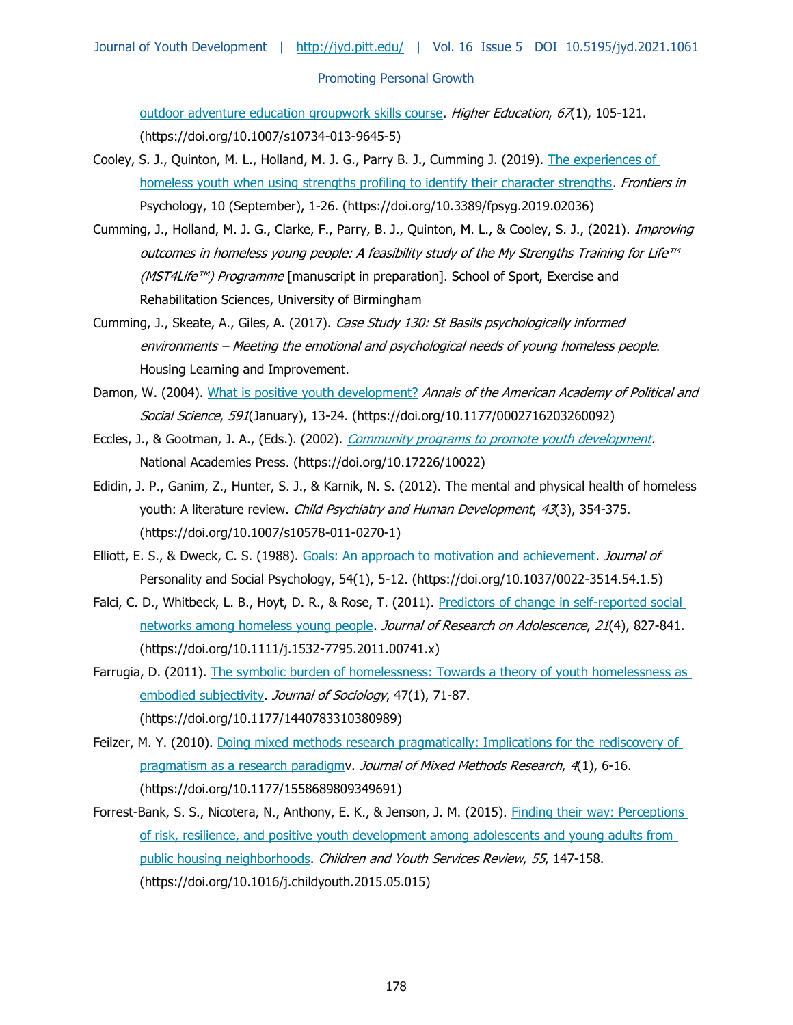[outdoor adventure education groupwork skills course.](https://doi.org/10.1007/s10734-013-9645-5) Higher Education,  $671$ , 105-121. (https://doi.org/10.1007/s10734-013-9645-5)

- Cooley, S. J., Quinton, M. L., Holland, M. J. G., Parry B. J., Cumming J. (2019). [The experiences of](https://doi.org/10.3389/fpsyg.2019.02036)  [homeless youth when using strengths profiling to identify their character strengths.](https://doi.org/10.3389/fpsyg.2019.02036) Frontiers in Psychology, 10 (September), 1-26. (https://doi.org/10.3389/fpsyg.2019.02036)
- Cumming, J., Holland, M. J. G., Clarke, F., Parry, B. J., Quinton, M. L., & Cooley, S. J., (2021). Improving outcomes in homeless young people: A feasibility study of the My Strengths Training for Life™ (MST4Life™) Programme [manuscript in preparation]. School of Sport, Exercise and Rehabilitation Sciences, University of Birmingham
- Cumming, J., Skeate, A., Giles, A. (2017). Case Study 130: St Basils psychologically informed environments – Meeting the emotional and psychological needs of young homeless people. Housing Learning and Improvement.
- Damon, W. (2004). [What is positive youth development?](https://doi.org/10.1177/0002716203260092) Annals of the American Academy of Political and Social Science, 591(January), 13-24. (https://doi.org/10.1177/0002716203260092)
- Eccles, J., & Gootman, J. A., (Eds.). (2002). *Community programs to promote youth development*. National Academies Press. (https://doi.org/10.17226/10022)
- Edidin, J. P., Ganim, Z., Hunter, S. J., & Karnik, N. S. (2012). [The mental and physical health of homeless](https://doi.org/10.1007/s10578-011-0270-1)  [youth: A literature review.](https://doi.org/10.1007/s10578-011-0270-1) Child Psychiatry and Human Development, 43(3), 354-375. (https://doi.org/10.1007/s10578-011-0270-1)
- Elliott, E. S., & Dweck, C. S. (1988). [Goals: An approach to motivation and achievement.](https://doi.org/10.1037/0022-3514.54.1.5) Journal of Personality and Social Psychology, 54(1), 5-12. (https://doi.org/10.1037/0022-3514.54.1.5)
- Falci, C. D., Whitbeck, L. B., Hoyt, D. R., & Rose, T. (2011). Predictors of change in self-reported social [networks among homeless young people.](https://doi.org/10.1111/j.1532-7795.2011.00741.x) Journal of Research on Adolescence, 21(4), 827-841. (https://doi.org/10.1111/j.1532-7795.2011.00741.x)
- Farrugia, D. (2011). The symbolic burden of homelessness: Towards a theory of youth homelessness as [embodied subjectivity.](https://doi.org/10.1177/1440783310380989) Journal of Sociology, 47(1), 71-87. (https://doi.org/10.1177/1440783310380989)
- Feilzer, M. Y. (2010). [Doing mixed methods research pragmatically: Implications for the rediscovery of](https://doi.org/10.1177/1558689809349691)  pragmatism as a research paradigmy. Journal of Mixed Methods Research, 4(1), 6-16. (https://doi.org/10.1177/1558689809349691)
- Forrest-Bank, S. S., Nicotera, N., Anthony, E. K., & Jenson, J. M. (2015). [Finding their way: Perceptions](https://doi.org/10.1016/j.childyouth.2015.05.015)  [of risk, resilience, and positive youth development among adolescents and young adults from](https://doi.org/10.1016/j.childyouth.2015.05.015)  [public housing neighborhoods.](https://doi.org/10.1016/j.childyouth.2015.05.015) Children and Youth Services Review, 55, 147-158. (https://doi.org/10.1016/j.childyouth.2015.05.015)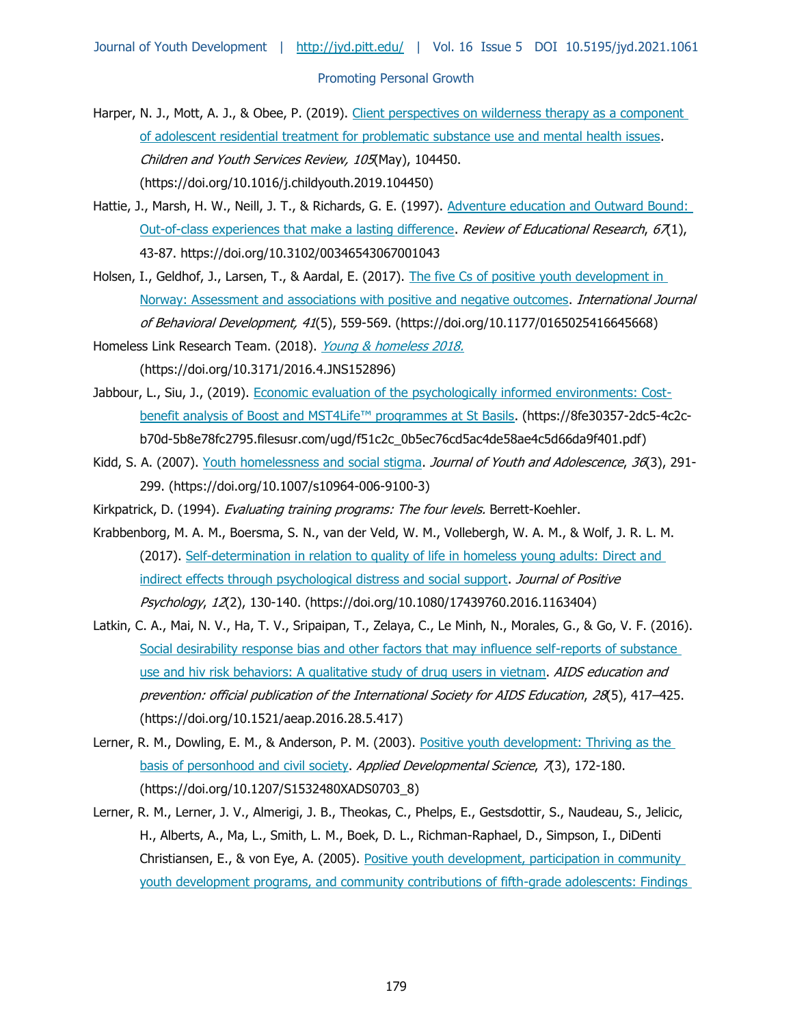- Harper, N. J., Mott, A. J., & Obee, P. (2019). Client perspectives on wilderness therapy as a component [of adolescent residential treatment for problematic substance use and mental health issues.](https://doi.org/10.1016/j.childyouth.2019.104450) Children and Youth Services Review, 105(May), 104450. (https://doi.org/10.1016/j.childyouth.2019.104450)
- Hattie, J., Marsh, H. W., Neill, J. T., & Richards, G. E. (1997). Adventure education and Outward Bound: [Out-of-class experiences that make a lasting difference.](https://doi.org/10.3102/00346543067001043) Review of Educational Research,  $67(1)$ , 43-87. https://doi.org/10.3102/00346543067001043
- Holsen, I., Geldhof, J., Larsen, T., & Aardal, E. (2017). The five Cs of positive youth development in [Norway: Assessment and associations with positive and negative outcomes.](https://doi.org/10.1177/0165025416645668) International Journal of Behavioral Development, 41(5), 559-569. (https://doi.org/10.1177/0165025416645668)
- Homeless Link Research Team. (2018). [Young & homeless 2018.](https://doi.org/10.3171/2016.4.JNS152896) (https://doi.org/10.3171/2016.4.JNS152896)
- Jabbour, L., Siu, J., (2019). [Economic evaluation of the psychologically informed environments: Cost](https://8fe30357-2dc5-4c2c-b70d-5b8e78fc2795.filesusr.com/ugd/f51c2c_0b5ec76cd5ac4de58ae4c5d66da9f401.pdfb)[benefit analysis of Boost and MST4Life™ programmes at St Basils](https://8fe30357-2dc5-4c2c-b70d-5b8e78fc2795.filesusr.com/ugd/f51c2c_0b5ec76cd5ac4de58ae4c5d66da9f401.pdfb). (https://8fe30357-2dc5-4c2cb70d-5b8e78fc2795.filesusr.com/ugd/f51c2c\_0b5ec76cd5ac4de58ae4c5d66da9f401.pdf)
- Kidd, S. A. (2007). [Youth homelessness and social stigma.](https://doi.org/10.1007/s10964-006-9100-3) Journal of Youth and Adolescence, 36(3), 291-299. (https://doi.org/10.1007/s10964-006-9100-3)
- Kirkpatrick, D. (1994). *Evaluating training programs: The four levels.* Berrett-Koehler.
- Krabbenborg, M. A. M., Boersma, S. N., van der Veld, W. M., Vollebergh, W. A. M., & Wolf, J. R. L. M. (2017). [Self-determination in relation to quality of life in homeless young adults: Direct and](https://doi.org/10.1080/17439760.2016.1163404)  [indirect effects through psychological distress and social support.](https://doi.org/10.1080/17439760.2016.1163404) Journal of Positive Psychology, 12(2), 130-140. (https://doi.org/10.1080/17439760.2016.1163404)
- Latkin, C. A., Mai, N. V., Ha, T. V., Sripaipan, T., Zelaya, C., Le Minh, N., Morales, G., & Go, V. F. (2016). [Social desirability response bias and other factors that may influence self-reports of substance](https://doi.org/10.1521/aeap.2016.28.5.417)  [use and hiv risk behaviors: A qualitative study of drug users in vietnam.](https://doi.org/10.1521/aeap.2016.28.5.417) AIDS education and prevention: official publication of the International Society for AIDS Education, 28(5), 417–425. (https://doi.org/10.1521/aeap.2016.28.5.417)
- Lerner, R. M., Dowling, E. M., & Anderson, P. M. (2003). Positive youth development: Thriving as the [basis of personhood and civil society.](https://doi.org/10.1207/S1532480XADS0703_8) Applied Developmental Science, 7(3), 172-180. (https://doi.org/10.1207/S1532480XADS0703\_8)
- Lerner, R. M., Lerner, J. V., Almerigi, J. B., Theokas, C., Phelps, E., Gestsdottir, S., Naudeau, S., Jelicic, H., Alberts, A., Ma, L., Smith, L. M., Boek, D. L., Richman-Raphael, D., Simpson, I., DiDenti Christiansen, E., & von Eye, A. (2005). Positive youth development, participation in community [youth development programs, and community contributions of fifth-grade adolescents: Findings](https://doi.org/10.1177/0272431604272461)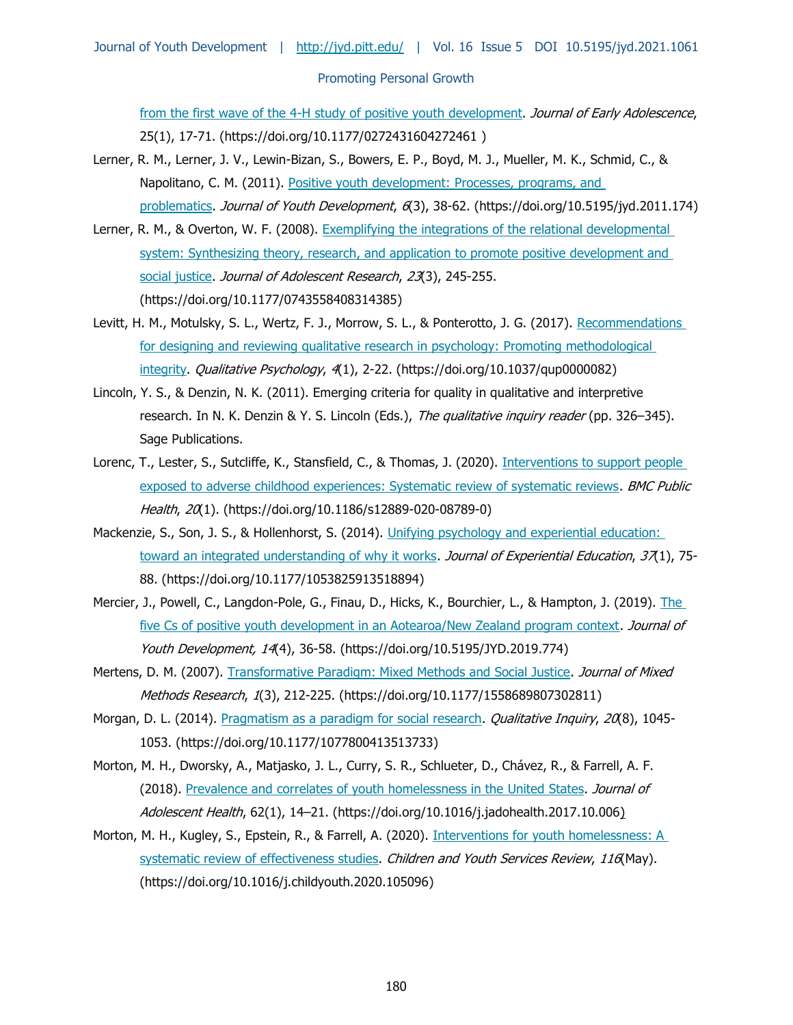[from the first wave of the 4-H study of positive youth development.](https://doi.org/10.1177/0272431604272461) Journal of Early Adolescence, 25(1), 17-71. (https://doi.org/10.1177/0272431604272461 )

- Lerner, R. M., Lerner, J. V., Lewin-Bizan, S., Bowers, E. P., Boyd, M. J., Mueller, M. K., Schmid, C., & Napolitano, C. M. (2011). Positive youth development: Processes, programs, and [problematics.](https://doi.org/10.5195/jyd.2011.174) Journal of Youth Development, 6(3), 38-62. (https://doi.org/10.5195/jyd.2011.174)
- Lerner, R. M., & Overton, W. F. (2008). [Exemplifying the integrations of the relational developmental](https://doi.org/10.1177/0743558408314385)  [system: Synthesizing theory, research, and application to promote positive development and](https://doi.org/10.1177/0743558408314385)  [social justice.](https://doi.org/10.1177/0743558408314385) Journal of Adolescent Research, 23(3), 245-255. (https://doi.org/10.1177/0743558408314385)
- Levitt, H. M., Motulsky, S. L., Wertz, F. J., Morrow, S. L., & Ponterotto, J. G. (2017). [Recommendations](https://doi.org/10.1037/qup0000082)  for designing and reviewing qualitative research in psychology: Promoting methodological [integrity.](https://doi.org/10.1037/qup0000082) Qualitative Psychology, 4(1), 2-22. (https://doi.org/10.1037/qup0000082)
- Lincoln, Y. S., & Denzin, N. K. (2011). Emerging criteria for quality in qualitative and interpretive research. In N. K. Denzin & Y. S. Lincoln (Eds.), The qualitative inquiry reader (pp. 326–345). Sage Publications.
- Lorenc, T., Lester, S., Sutcliffe, K., Stansfield, C., & Thomas, J. (2020). Interventions to support people [exposed to adverse childhood experiences: Systematic review of systematic reviews.](https://doi.org/10.1186/s12889-020-08789-0) BMC Public Health, 20(1). (https://doi.org/10.1186/s12889-020-08789-0)
- Mackenzie, S., Son, J. S., & Hollenhorst, S. (2014). Unifying psychology and experiential education: [toward an integrated understanding of why it works.](https://doi.org/10.1177/1053825913518894) Journal of Experiential Education, 37(1), 75-88. (https://doi.org/10.1177/1053825913518894)
- Mercier, J., Powell, C., Langdon-Pole, G., Finau, D., Hicks, K., Bourchier, L., & Hampton, J. (2019). The [five Cs of positive youth development in an Aotearoa/New Zealand program context.](https://doi.org/10.5195/JYD.2019.774) Journal of Youth Development, 14(4), 36-58. (https://doi.org/10.5195/JYD.2019.774)
- Mertens, D. M. (2007). [Transformative Paradigm: Mixed Methods and Social Justice.](https://doi.org/10.1177/1558689807302811) Journal of Mixed Methods Research, 1(3), 212-225. (https://doi.org/10.1177/1558689807302811)
- Morgan, D. L. (2014). [Pragmatism as a paradigm for social research.](https://doi.org/10.1177/1077800413513733) Qualitative Inquiry, 20(8), 1045-1053. (https://doi.org/10.1177/1077800413513733)
- Morton, M. H., Dworsky, A., Matjasko, J. L., Curry, S. R., Schlueter, D., Chávez, R., & Farrell, A. F. (2018). [Prevalence and correlates of youth homelessness in the United States.](https://doi.org/10.1016/j.jadohealth.2017.10.006) Journal of Adolescent Health, 62(1), 14–21. (https://doi.org/10.1016/j.jadohealth.2017.10.006)
- Morton, M. H., Kugley, S., Epstein, R., & Farrell, A. (2020). Interventions for youth homelessness: A [systematic review of effectiveness studies.](https://doi.org/10.1016/j.childyouth.2020.105096) Children and Youth Services Review, 116(May). (https://doi.org/10.1016/j.childyouth.2020.105096)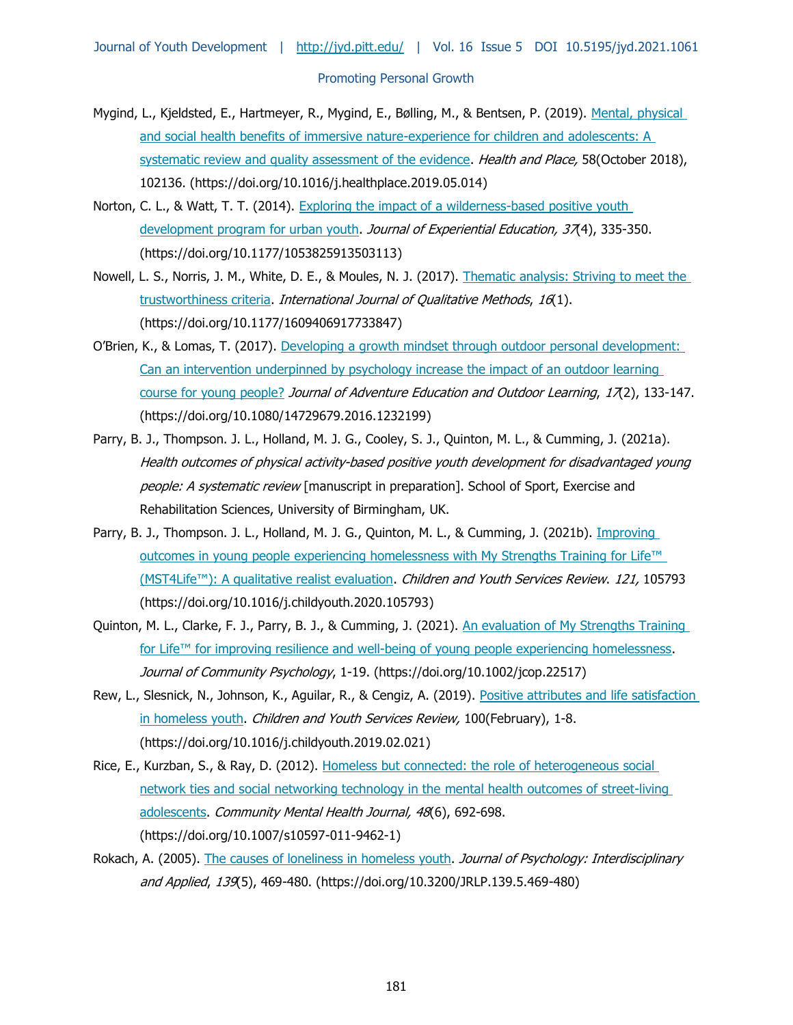- Mygind, L., Kjeldsted, E., Hartmeyer, R., Mygind, E., Bølling, M., & Bentsen, P. (2019). [Mental, physical](https://doi.org/10.1016/j.healthplace.2019.05.014)  [and social health benefits of immersive nature-experience for children and adolescents: A](https://doi.org/10.1016/j.healthplace.2019.05.014)  [systematic review and quality assessment of the evidence.](https://doi.org/10.1016/j.healthplace.2019.05.014) *Health and Place*, 58(October 2018), 102136. (https://doi.org/10.1016/j.healthplace.2019.05.014)
- Norton, C. L., & Watt, T. T. (2014). Exploring the [impact of a wilderness-based positive youth](https://doi.org/10.1177/1053825913503113)  [development program for urban youth.](https://doi.org/10.1177/1053825913503113) Journal of Experiential Education, 37(4), 335-350. (https://doi.org/10.1177/1053825913503113)
- Nowell, L. S., Norris, J. M., White, D. E., & Moules, N. J. (2017). [Thematic analysis: Striving to meet the](https://doi.org/10.1177/1609406917733847)  [trustworthiness criteria.](https://doi.org/10.1177/1609406917733847) International Journal of Qualitative Methods, 16(1). (https://doi.org/10.1177/1609406917733847)
- O'Brien, K., & Lomas, T. (2017). Developing a growth mindset through outdoor personal development: [Can an intervention underpinned by psychology increase the impact of an outdoor learning](https://doi.org/10.1080/14729679.2016.1232199)  [course for young people?](https://doi.org/10.1080/14729679.2016.1232199) Journal of Adventure Education and Outdoor Learning, 17(2), 133-147. (https://doi.org/10.1080/14729679.2016.1232199)
- Parry, B. J., Thompson. J. L., Holland, M. J. G., Cooley, S. J., Quinton, M. L., & Cumming, J. (2021a). Health outcomes of physical activity-based positive youth development for disadvantaged young people: A systematic review [manuscript in preparation]. School of Sport, Exercise and Rehabilitation Sciences, University of Birmingham, UK.
- Parry, B. J., Thompson. J. L., Holland, M. J. G., Quinton, M. L., & Cumming, J. (2021b). *Improving* [outcomes in young people experiencing homelessness with My Strengths Training for Life™](https://doi.org/10.1016/j.childyouth.2020.105793)  [\(MST4Life™\): A qualitative realist evaluation](https://doi.org/10.1016/j.childyouth.2020.105793). Children and Youth Services Review. 121, 105793 (https://doi.org/10.1016/j.childyouth.2020.105793)
- Quinton, M. L., Clarke, F. J., Parry, B. J., & Cumming, J. (2021). An evaluation of My Strengths Training for Life™ for improving resilience and well-being of young people experiencing homelessness. Journal of Community Psychology, 1-19. (https://doi.org/10.1002/jcop.22517)
- Rew, L., Slesnick, N., Johnson, K., Aguilar, R., & Cengiz, A. (2019). Positive attributes and life satisfaction [in homeless youth.](https://doi.org/10.1016/j.childyouth.2019.02.021) Children and Youth Services Review, 100(February), 1-8. (https://doi.org/10.1016/j.childyouth.2019.02.021)
- Rice, E., Kurzban, S., & Ray, D. (2012). Homeless but connected: the role of heterogeneous social [network ties and social networking technology in the](https://doi.org/10.1007/s10597-011-9462-1) mental health outcomes of street-living [adolescents.](https://doi.org/10.1007/s10597-011-9462-1) Community Mental Health Journal, 48(6), 692-698. (https://doi.org/10.1007/s10597-011-9462-1)
- Rokach, A. (2005). [The causes of loneliness in homeless youth.](https://doi.org/10.3200/JRLP.139.5.469-480) Journal of Psychology: Interdisciplinary and Applied, 139(5), 469-480. (https://doi.org/10.3200/JRLP.139.5.469-480)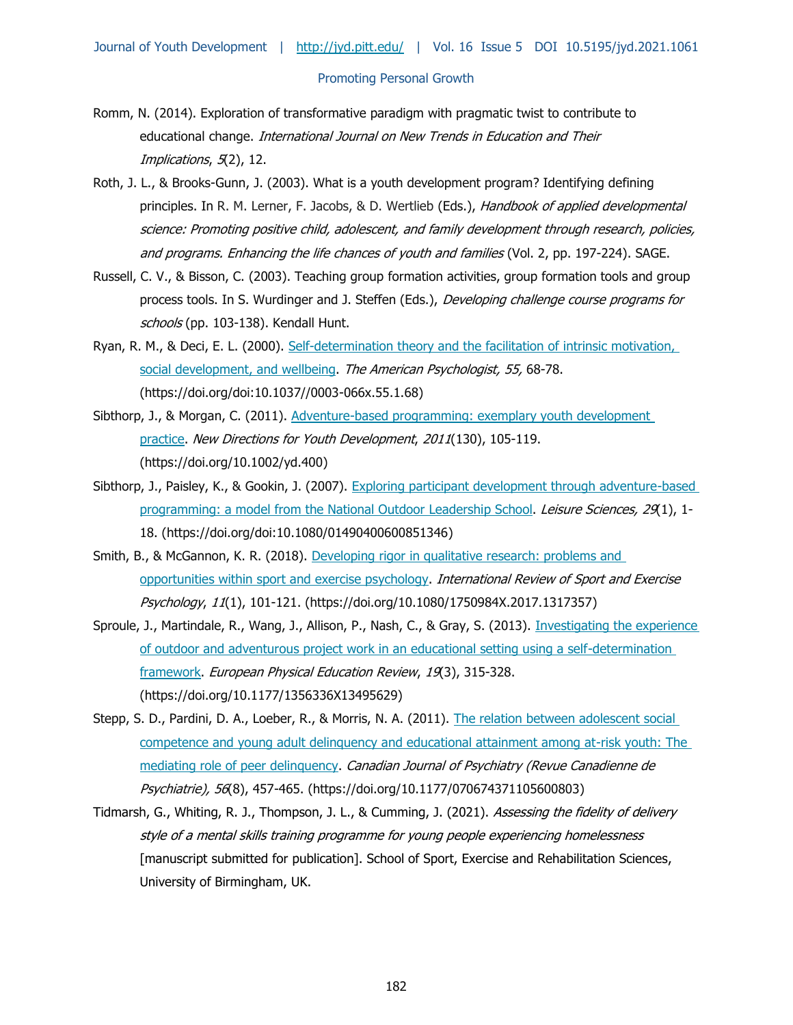#### Journal of Youth Development | <http://jyd.pitt.edu/>| Vol. 16 Issue 5 DOI 10.5195/jyd.2021.1061

#### Promoting Personal Growth

- Romm, N. (2014). Exploration of transformative paradigm with pragmatic twist to contribute to educational change. International Journal on New Trends in Education and Their Implications, 5(2), 12.
- Roth, J. L., & Brooks-Gunn, J. (2003). What is a youth development program? Identifying defining principles. In R. M. Lerner, F. Jacobs, & D. Wertlieb (Eds.), Handbook of applied developmental science: Promoting positive child, adolescent, and family development through research, policies, and programs. Enhancing the life chances of youth and families (Vol. 2, pp. 197-224). SAGE.
- Russell, C. V., & Bisson, C. (2003). Teaching group formation activities, group formation tools and group process tools. In S. Wurdinger and J. Steffen (Eds.), Developing challenge course programs for schools (pp. 103-138). Kendall Hunt.
- Ryan, R. M., & Deci, E. L. (2000). Self-determination theory and the facilitation of intrinsic motivation, [social development, and wellbeing.](https://doi.org/doi:10.1037/0003-066x.55.1.68) The American Psychologist, 55, 68-78. (https://doi.org/doi:10.1037//0003-066x.55.1.68)
- Sibthorp, J., & Morgan, C. (2011). [Adventure-based programming: exemplary youth development](https://doi.org/10.1002/yd.400)  [practice.](https://doi.org/10.1002/yd.400) New Directions for Youth Development, 2011(130), 105-119. (https://doi.org/10.1002/yd.400)
- Sibthorp, J., Paisley, K., & Gookin, J. (2007). Exploring participant development through adventure-based [programming: a model from the National Outdoor Leadership School.](https://doi.org/doi:10.1080/01490400600851346) Leisure Sciences, 29(1), 1-18. (https://doi.org/doi:10.1080/01490400600851346)
- Smith, B., & McGannon, K. R. (2018). [Developing rigor in qualitative research: problems and](https://doi.org/10.1080/1750984X.2017.1317357)  [opportunities within sport and exercise psychology.](https://doi.org/10.1080/1750984X.2017.1317357) International Review of Sport and Exercise Psychology, 11(1), 101-121. (https://doi.org/10.1080/1750984X.2017.1317357)
- Sproule, J., Martindale, R., Wang, J., Allison, P., Nash, C., & Gray, S. (2013). Investigating the experience [of outdoor and adventurous project work in an educational setting using a self-determination](https://doi.org/10.1177/1356336X13495629)  [framework.](https://doi.org/10.1177/1356336X13495629) European Physical Education Review, 19(3), 315-328. (https://doi.org/10.1177/1356336X13495629)
- Stepp, S. D., Pardini, D. A., Loeber, R., & Morris, N. A. (2011). The relation between adolescent social [competence and young adult delinquency and educational attainment among at-risk youth: The](https://doi.org/10.1177/070674371105600803)  [mediating role of peer delinquency.](https://doi.org/10.1177/070674371105600803) Canadian Journal of Psychiatry (Revue Canadienne de Psychiatrie), 56(8), 457-465. (https://doi.org/10.1177/070674371105600803)
- Tidmarsh, G., Whiting, R. J., Thompson, J. L., & Cumming, J. (2021). Assessing the fidelity of delivery style of a mental skills training programme for young people experiencing homelessness [manuscript submitted for publication]. School of Sport, Exercise and Rehabilitation Sciences, University of Birmingham, UK.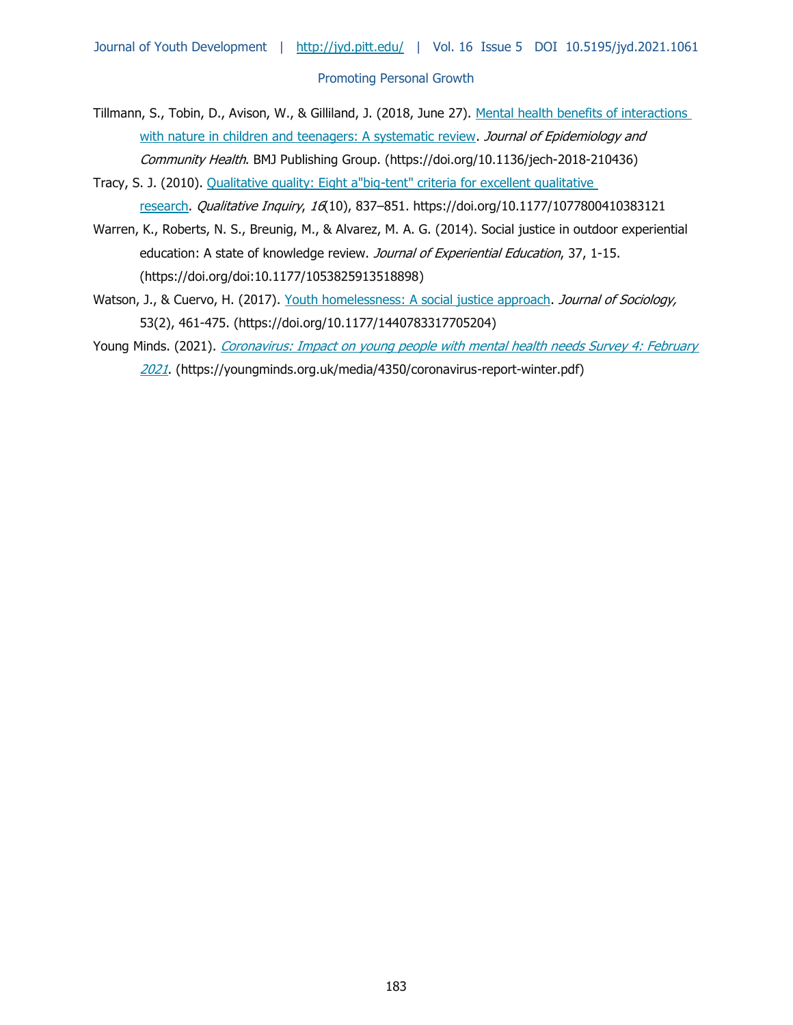- Tillmann, S., Tobin, D., Avison, W., & Gilliland, J. (2018, June 27). [Mental health benefits of interactions](https://doi.org/10.1136/jech-2018-210436)  [with nature in children and teenagers: A systematic review.](https://doi.org/10.1136/jech-2018-210436) Journal of Epidemiology and Community Health. BMJ Publishing Group. (https://doi.org/10.1136/jech-2018-210436)
- Tracy, S. J. (2010). [Qualitative quality: Eight a"big-tent" criteria for excellent qualitative](https://doi.org/10.1177/1077800410383121)  [research.](https://doi.org/10.1177/1077800410383121) Qualitative Inquiry, 16(10), 837-851. https://doi.org/10.1177/1077800410383121
- Warren, K., Roberts, N. S., Breunig, M., & Alvarez, M. A. G. (2014). Social justice in outdoor experiential education: A state of knowledge review. Journal of Experiential Education, 37, 1-15. (https://doi.org/doi:10.1177/1053825913518898)
- Watson, J., & Cuervo, H. (2017). [Youth homelessness: A social justice approach.](https://doi.org/10.1177/1440783317705204) Journal of Sociology, 53(2), 461-475. (https://doi.org/10.1177/1440783317705204)
- Young Minds. (2021). Coronavirus: Impact on young people with mental health needs Survey 4: February [2021](https://doi.org/10.1177/1440783317705204). (https://youngminds.org.uk/media/4350/coronavirus-report-winter.pdf)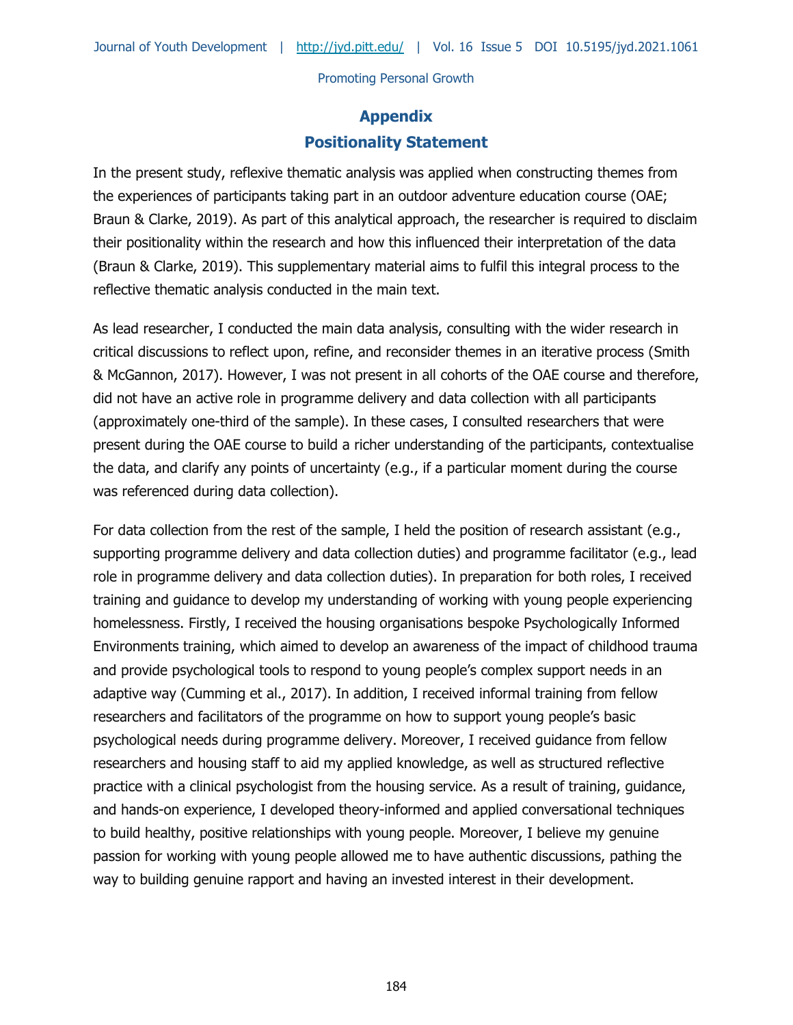# **Appendix Positionality Statement**

In the present study, reflexive thematic analysis was applied when constructing themes from the experiences of participants taking part in an outdoor adventure education course (OAE; Braun & Clarke, 2019). As part of this analytical approach, the researcher is required to disclaim their positionality within the research and how this influenced their interpretation of the data (Braun & Clarke, 2019). This supplementary material aims to fulfil this integral process to the reflective thematic analysis conducted in the main text.

As lead researcher, I conducted the main data analysis, consulting with the wider research in critical discussions to reflect upon, refine, and reconsider themes in an iterative process (Smith & McGannon, 2017). However, I was not present in all cohorts of the OAE course and therefore, did not have an active role in programme delivery and data collection with all participants (approximately one-third of the sample). In these cases, I consulted researchers that were present during the OAE course to build a richer understanding of the participants, contextualise the data, and clarify any points of uncertainty (e.g., if a particular moment during the course was referenced during data collection).

For data collection from the rest of the sample, I held the position of research assistant (e.g., supporting programme delivery and data collection duties) and programme facilitator (e.g., lead role in programme delivery and data collection duties). In preparation for both roles, I received training and guidance to develop my understanding of working with young people experiencing homelessness. Firstly, I received the housing organisations bespoke Psychologically Informed Environments training, which aimed to develop an awareness of the impact of childhood trauma and provide psychological tools to respond to young people's complex support needs in an adaptive way (Cumming et al., 2017). In addition, I received informal training from fellow researchers and facilitators of the programme on how to support young people's basic psychological needs during programme delivery. Moreover, I received guidance from fellow researchers and housing staff to aid my applied knowledge, as well as structured reflective practice with a clinical psychologist from the housing service. As a result of training, guidance, and hands-on experience, I developed theory-informed and applied conversational techniques to build healthy, positive relationships with young people. Moreover, I believe my genuine passion for working with young people allowed me to have authentic discussions, pathing the way to building genuine rapport and having an invested interest in their development.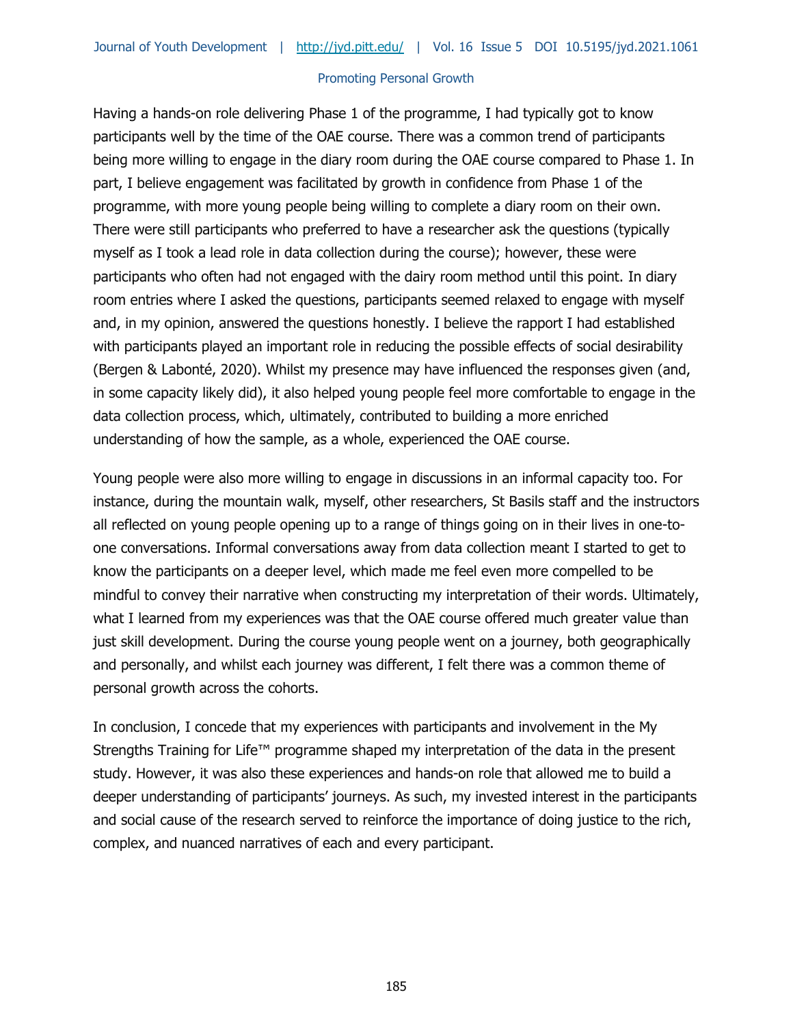Having a hands-on role delivering Phase 1 of the programme, I had typically got to know participants well by the time of the OAE course. There was a common trend of participants being more willing to engage in the diary room during the OAE course compared to Phase 1. In part, I believe engagement was facilitated by growth in confidence from Phase 1 of the programme, with more young people being willing to complete a diary room on their own. There were still participants who preferred to have a researcher ask the questions (typically myself as I took a lead role in data collection during the course); however, these were participants who often had not engaged with the dairy room method until this point. In diary room entries where I asked the questions, participants seemed relaxed to engage with myself and, in my opinion, answered the questions honestly. I believe the rapport I had established with participants played an important role in reducing the possible effects of social desirability (Bergen & Labonté, 2020). Whilst my presence may have influenced the responses given (and, in some capacity likely did), it also helped young people feel more comfortable to engage in the data collection process, which, ultimately, contributed to building a more enriched understanding of how the sample, as a whole, experienced the OAE course.

Young people were also more willing to engage in discussions in an informal capacity too. For instance, during the mountain walk, myself, other researchers, St Basils staff and the instructors all reflected on young people opening up to a range of things going on in their lives in one-toone conversations. Informal conversations away from data collection meant I started to get to know the participants on a deeper level, which made me feel even more compelled to be mindful to convey their narrative when constructing my interpretation of their words. Ultimately, what I learned from my experiences was that the OAE course offered much greater value than just skill development. During the course young people went on a journey, both geographically and personally, and whilst each journey was different, I felt there was a common theme of personal growth across the cohorts.

In conclusion, I concede that my experiences with participants and involvement in the My Strengths Training for Life™ programme shaped my interpretation of the data in the present study. However, it was also these experiences and hands-on role that allowed me to build a deeper understanding of participants' journeys. As such, my invested interest in the participants and social cause of the research served to reinforce the importance of doing justice to the rich, complex, and nuanced narratives of each and every participant.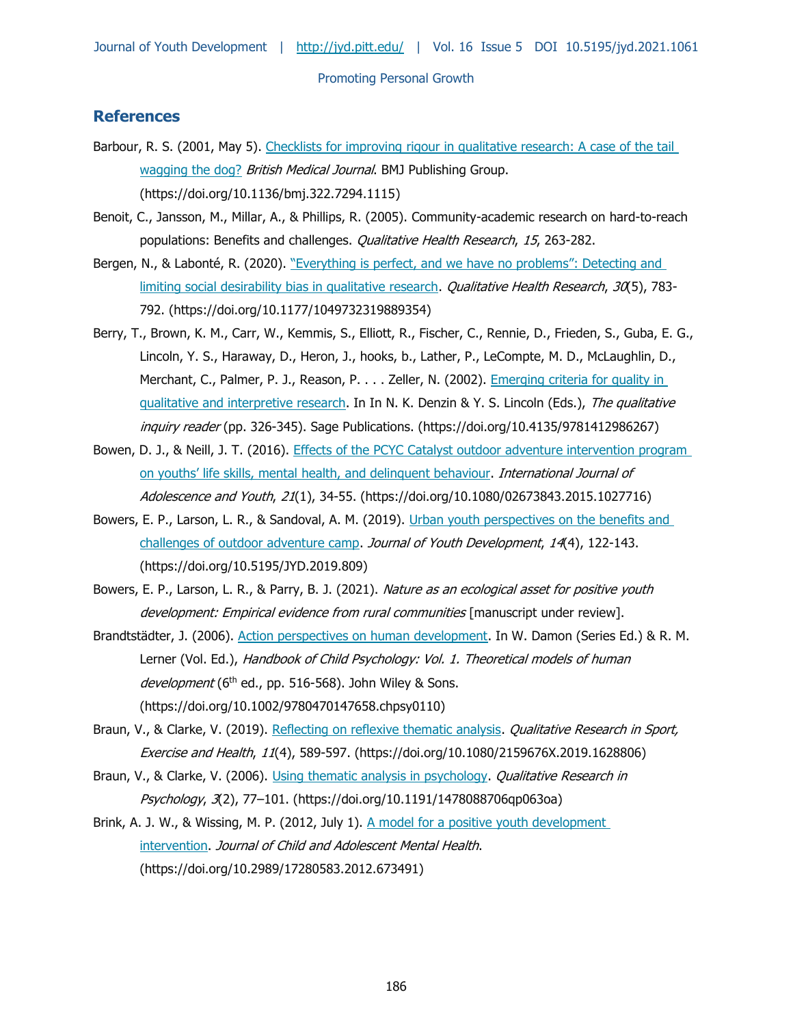# **References**

- Barbour, R. S. (2001, May 5). [Checklists for improving rigour in qualitative research: A case of the tail](https://doi.org/10.1136/bmj.322.7294.1115)  [wagging the dog?](https://doi.org/10.1136/bmj.322.7294.1115) British Medical Journal. BMJ Publishing Group. (https://doi.org/10.1136/bmj.322.7294.1115)
- Benoit, C., Jansson, M., Millar, A., & Phillips, R. (2005). Community-academic research on hard-to-reach populations: Benefits and challenges. *Qualitative Health Research*, 15, 263-282.
- Bergen, N., & Labonté, R. (2020). "Everything is perfect, and we have no problems": Detecting and [limiting social desirability bias in qualitative research.](https://doi.org/10.1177/1049732319889354) Qualitative Health Research, 30(5), 783-792. (https://doi.org/10.1177/1049732319889354)
- Berry, T., Brown, K. M., Carr, W., Kemmis, S., Elliott, R., Fischer, C., Rennie, D., Frieden, S., Guba, E. G., Lincoln, Y. S., Haraway, D., Heron, J., hooks, b., Lather, P., LeCompte, M. D., McLaughlin, D., Merchant, C., Palmer, P. J., Reason, P. . . . Zeller, N. (2002). Emerging criteria for quality in gualitative and interpretive research. In In N. K. Denzin & Y. S. Lincoln (Eds.), The qualitative inquiry reader (pp. 326-345). Sage Publications. (https://doi.org/10.4135/9781412986267)
- Bowen, D. J., & Neill, J. T. (2016). [Effects of the PCYC Catalyst outdoor adventure intervention program](https://doi.org/10.1080/02673843.2015.1027716)  on youths' life skills, mental [health, and delinquent behaviour.](https://doi.org/10.1080/02673843.2015.1027716) International Journal of Adolescence and Youth, 21(1), 34-55. (https://doi.org/10.1080/02673843.2015.1027716)
- Bowers, E. P., Larson, L. R., & Sandoval, A. M. (2019). Urban youth perspectives on the benefits and [challenges of outdoor adventure camp.](https://doi.org/10.5195/JYD.2019.809) Journal of Youth Development, 14(4), 122-143. (https://doi.org/10.5195/JYD.2019.809)
- Bowers, E. P., Larson, L. R., & Parry, B. J. (2021). Nature as an ecological asset for positive youth development: Empirical evidence from rural communities [manuscript under review].
- Brandtstädter, J. (2006). [Action perspectives on human development.](https://doi.org/10.1002/9780470147658.chpsy0110) In W. Damon (Series Ed.) & R. M. Lerner (Vol. Ed.), Handbook of Child Psychology: Vol. 1. Theoretical models of human development (6<sup>th</sup> ed., pp. 516-568). John Wiley & Sons. (https://doi.org/10.1002/9780470147658.chpsy0110)
- Braun, V., & Clarke, V. (2019). [Reflecting on reflexive thematic analysis.](https://doi.org/10.1080/2159676X.2019.1628806) Qualitative Research in Sport, Exercise and Health, 11(4), 589-597. (https://doi.org/10.1080/2159676X.2019.1628806)
- Braun, V., & Clarke, V. (2006). [Using thematic analysis in psychology.](https://doi.org/10.1191/1478088706qp063oa) *Qualitative Research in* Psychology, 3(2), 77–101. (https://doi.org/10.1191/1478088706qp063oa)
- Brink, A. J. W., & Wissing, M. P. (2012, July 1). [A model for a positive youth development](https://doi.org/10.2989/17280583.2012.673491)  [intervention.](https://doi.org/10.2989/17280583.2012.673491) Journal of Child and Adolescent Mental Health. (https://doi.org/10.2989/17280583.2012.673491)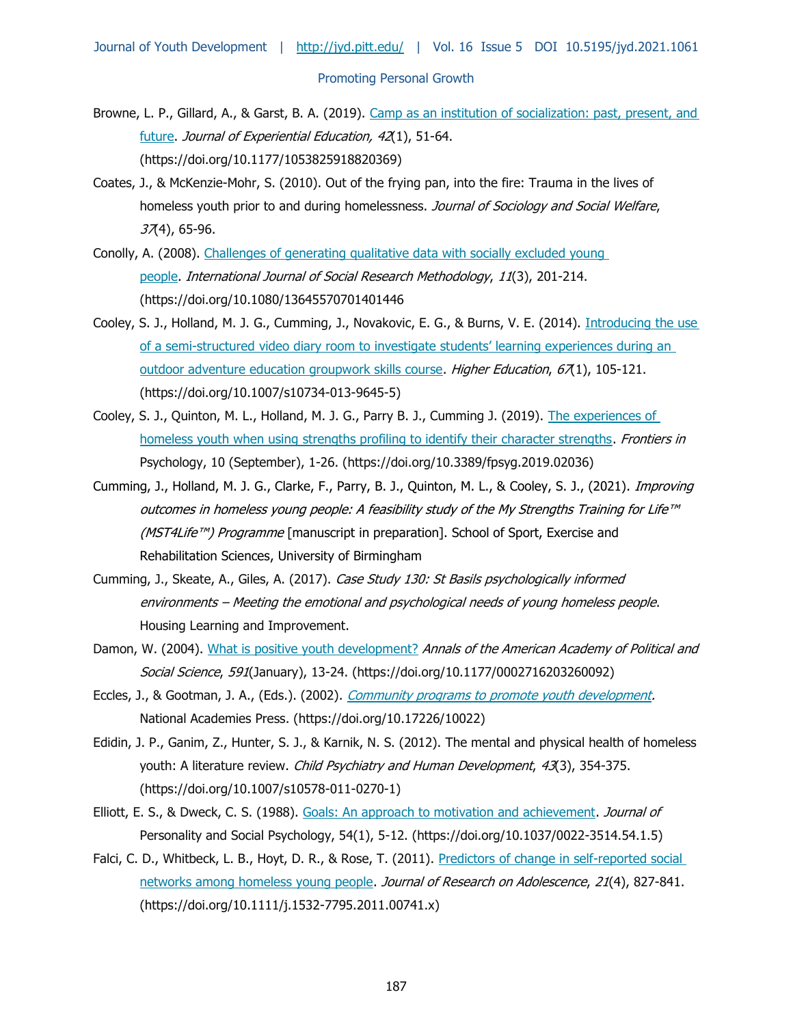- Browne, L. P., Gillard, A., & Garst, B. A. (2019). [Camp as an institution of socialization: past, present, and](https://doi.org/10.1177/1053825918820369)  [future.](https://doi.org/10.1177/1053825918820369) Journal of Experiential Education, 42(1), 51-64. (https://doi.org/10.1177/1053825918820369)
- Coates, J., & McKenzie-Mohr, S. (2010). Out of the frying pan, into the fire: Trauma in the lives of homeless youth prior to and during homelessness. Journal of Sociology and Social Welfare,  $37(4)$ , 65-96.
- Conolly, A. (2008). [Challenges of generating qualitative data with socially excluded young](https://doi.org/10.1080/13645570701401446)  [people.](https://doi.org/10.1080/13645570701401446) International Journal of Social Research Methodology, 11(3), 201-214. (https://doi.org/10.1080/13645570701401446
- Cooley, S. J., Holland, M. J. G., Cumming, J., Novakovic, E. G., & Burns, V. E. (2014). [Introducing the use](https://doi.org/10.1007/s10734-013-9645-5)  of a semi-[structured video diary room to investigate students' learning experiences during an](https://doi.org/10.1007/s10734-013-9645-5)  [outdoor adventure education groupwork skills course.](https://doi.org/10.1007/s10734-013-9645-5) Higher Education, 67(1), 105-121. (https://doi.org/10.1007/s10734-013-9645-5)
- Cooley, S. J., Quinton, M. L., Holland, M. J. G., Parry B. J., Cumming J. (2019). [The experiences of](https://doi.org/10.3389/fpsyg.2019.02036)  [homeless youth when using strengths profiling to identify their character strengths.](https://doi.org/10.3389/fpsyg.2019.02036) Frontiers in Psychology, 10 (September), 1-26. (https://doi.org/10.3389/fpsyg.2019.02036)
- Cumming, J., Holland, M. J. G., Clarke, F., Parry, B. J., Quinton, M. L., & Cooley, S. J., (2021). Improving outcomes in homeless young people: A feasibility study of the My Strengths Training for Life™ (MST4Life™) Programme [manuscript in preparation]. School of Sport, Exercise and Rehabilitation Sciences, University of Birmingham
- Cumming, J., Skeate, A., Giles, A. (2017). Case Study 130: St Basils psychologically informed environments – Meeting the emotional and psychological needs of young homeless people. Housing Learning and Improvement.
- Damon, W. (2004). [What is positive youth development?](https://doi.org/10.1177/0002716203260092) Annals of the American Academy of Political and Social Science, 591(January), 13-24. (https://doi.org/10.1177/0002716203260092)
- Eccles, J., & Gootman, J. A., (Eds.). (2002). [Community programs to promote youth development.](https://doi.org/10.17226/10022) National Academies Press. (https://doi.org/10.17226/10022)
- Edidin, J. P., Ganim, Z., Hunter, S. J., & Karnik, N. S. (2012). [The mental and physical health of homeless](https://doi.org/10.1007/s10578-011-0270-1)  [youth: A literature review.](https://doi.org/10.1007/s10578-011-0270-1) Child Psychiatry and Human Development, 43(3), 354-375. (https://doi.org/10.1007/s10578-011-0270-1)
- Elliott, E. S., & Dweck, C. S. (1988). [Goals: An approach to motivation and achievement.](https://doi.org/10.1037/0022-3514.54.1.5) Journal of Personality and Social Psychology, 54(1), 5-12. (https://doi.org/10.1037/0022-3514.54.1.5)
- Falci, C. D., Whitbeck, L. B., Hoyt, D. R., & Rose, T. (2011). Predictors of change in self-reported social [networks among homeless young people.](https://doi.org/10.1111/j.1532-7795.2011.00741.x) Journal of Research on Adolescence, 21(4), 827-841. (https://doi.org/10.1111/j.1532-7795.2011.00741.x)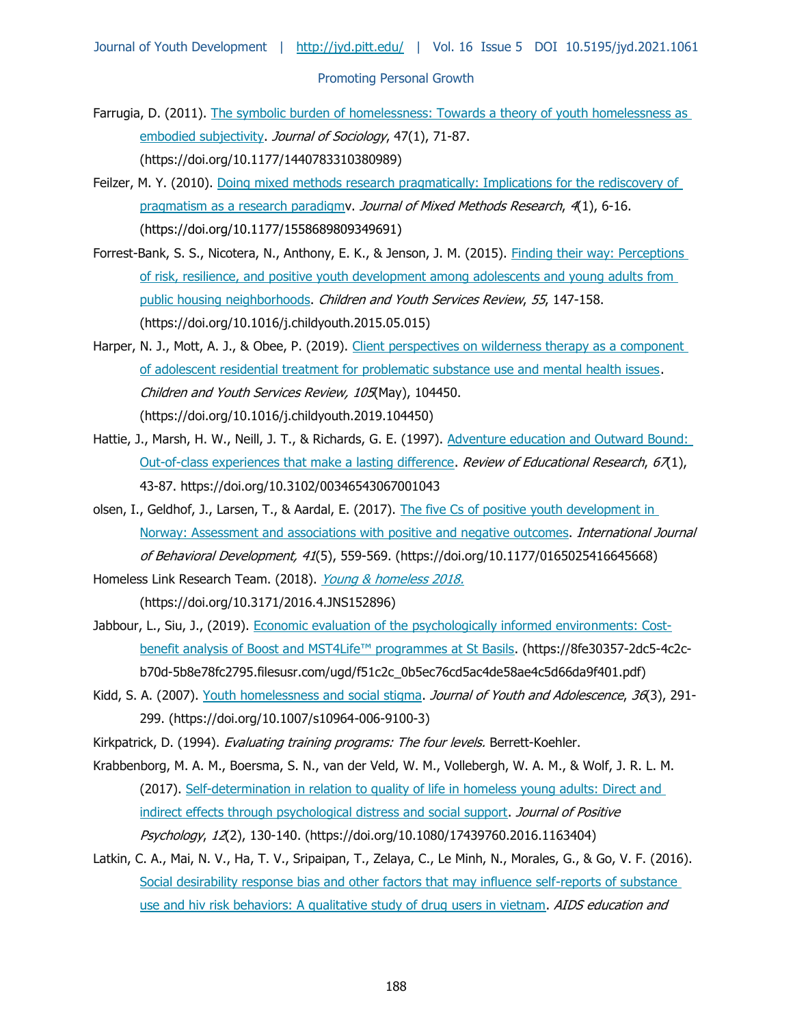- Farrugia, D. (2011). The symbolic burden of homelessness: Towards a theory of youth homelessness as [embodied subjectivity.](https://doi.org/10.1177/1440783310380989) Journal of Sociology, 47(1), 71-87. (https://doi.org/10.1177/1440783310380989)
- Feilzer, M. Y. (2010). [Doing mixed methods research pragmatically: Implications for the rediscovery of](https://doi.org/10.1177/1558689809349691)  pragmatism as a research paradigmy. Journal of Mixed Methods Research, 4(1), 6-16. (https://doi.org/10.1177/1558689809349691)
- Forrest-Bank, S. S., Nicotera, N., Anthony, E. K., & Jenson, J. M. (2015). Finding their way: Perceptions [of risk, resilience, and positive youth development among adolescents and young adults from](https://doi.org/10.1016/j.childyouth.2015.05.015)  [public housing neighborhoods.](https://doi.org/10.1016/j.childyouth.2015.05.015) Children and Youth Services Review, 55, 147-158. (https://doi.org/10.1016/j.childyouth.2015.05.015)
- Harper, N. J., Mott, A. J., & Obee, P. (2019). Client perspectives on wilderness therapy as a component [of adolescent residential treatment for problematic substance use and mental health issues.](https://doi.org/10.1016/j.childyouth.2019.104450) Children and Youth Services Review, 105(May), 104450. (https://doi.org/10.1016/j.childyouth.2019.104450)
- Hattie, J., Marsh, H. W., Neill, J. T., & Richards, G. E. (1997). Adventure education and Outward Bound: [Out-of-class experiences that make a lasting difference.](https://doi.org/10.3102/00346543067001043) Review of Educational Research, 67(1), 43-87. https://doi.org/10.3102/00346543067001043
- olsen, I., Geldhof, J., Larsen, T., & Aardal, E. (2017). The five Cs of positive youth development in [Norway: Assessment and associations with positive and negative outcomes.](https://doi.org/10.1177/0165025416645668) International Journal of Behavioral Development, 41(5), 559-569. (https://doi.org/10.1177/0165025416645668)

Homeless Link Research Team. (2018). [Young & homeless 2018.](https://doi.org/10.3171/2016.4.JNS152896) (https://doi.org/10.3171/2016.4.JNS152896)

- Jabbour, L., Siu, J., (2019). [Economic evaluation of the psychologically informed environments: Cost](https://8fe30357-2dc5-4c2c-b70d-5b8e78fc2795.filesusr.com/ugd/f51c2c_0b5ec76cd5ac4de58ae4c5d66da9f401.pdfb)[benefit analysis of Boost and MST4Life™ programmes at St Basils](https://8fe30357-2dc5-4c2c-b70d-5b8e78fc2795.filesusr.com/ugd/f51c2c_0b5ec76cd5ac4de58ae4c5d66da9f401.pdfb). (https://8fe30357-2dc5-4c2cb70d-5b8e78fc2795.filesusr.com/ugd/f51c2c\_0b5ec76cd5ac4de58ae4c5d66da9f401.pdf)
- Kidd, S. A. (2007). [Youth homelessness and social stigma.](https://doi.org/10.1007/s10964-006-9100-3) Journal of Youth and Adolescence, 36(3), 291-299. (https://doi.org/10.1007/s10964-006-9100-3)
- Kirkpatrick, D. (1994). Evaluating training programs: The four levels. Berrett-Koehler.
- Krabbenborg, M. A. M., Boersma, S. N., van der Veld, W. M., Vollebergh, W. A. M., & Wolf, J. R. L. M. (2017). [Self-determination in relation to quality of life in homeless young adults: Direct and](https://doi.org/10.1080/17439760.2016.1163404)  [indirect effects through psychological distress and social support.](https://doi.org/10.1080/17439760.2016.1163404) Journal of Positive Psychology, 12(2), 130-140. (https://doi.org/10.1080/17439760.2016.1163404)
- Latkin, C. A., Mai, N. V., Ha, T. V., Sripaipan, T., Zelaya, C., Le Minh, N., Morales, G., & Go, V. F. (2016). [Social desirability response bias and other factors that may influence self-reports of](https://doi.org/10.1521/aeap.2016.28.5.417) substance [use and hiv risk behaviors: A qualitative study of drug users in vietnam.](https://doi.org/10.1521/aeap.2016.28.5.417) AIDS education and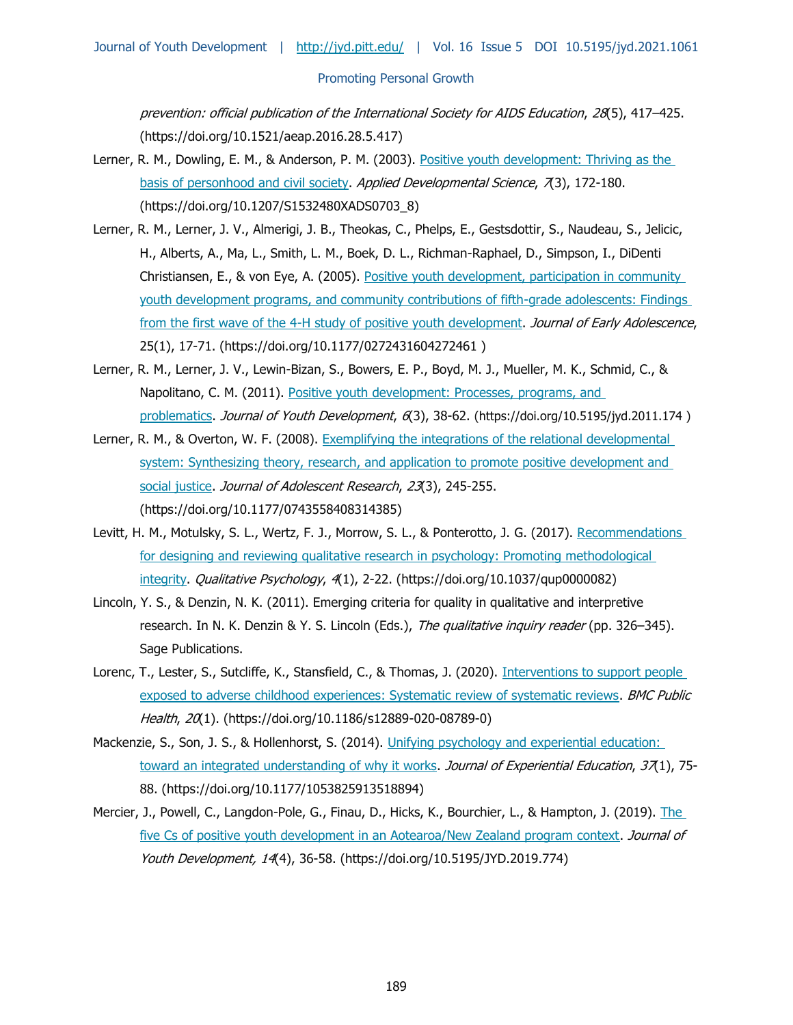prevention: official publication of the International Society for AIDS Education, 28(5), 417–425. (https://doi.org/10.1521/aeap.2016.28.5.417)

- Lerner, R. M., Dowling, E. M., & Anderson, P. M. (2003). [Positive youth development: Thriving as the](https://doi.org/10.1207/S1532480XADS0703_8)  [basis of personhood and civil society.](https://doi.org/10.1207/S1532480XADS0703_8) Applied Developmental Science, 7(3), 172-180. (https://doi.org/10.1207/S1532480XADS0703\_8)
- Lerner, R. M., Lerner, J. V., Almerigi, J. B., Theokas, C., Phelps, E., Gestsdottir, S., Naudeau, S., Jelicic, H., Alberts, A., Ma, L., Smith, L. M., Boek, D. L., Richman-Raphael, D., Simpson, I., DiDenti Christiansen, E., & von Eye, A. (2005). [Positive youth development, participation in community](https://doi.org/10.1177/0272431604272461)  [youth development programs, and community contributions of fifth-grade adolescents: Findings](https://doi.org/10.1177/0272431604272461)  [from the first wave of the 4-H study of positive youth development.](https://doi.org/10.1177/0272431604272461) Journal of Early Adolescence, 25(1), 17-71. (https://doi.org/10.1177/0272431604272461 )
- Lerner, R. M., Lerner, J. V., Lewin-Bizan, S., Bowers, E. P., Boyd, M. J., Mueller, M. K., Schmid, C., & Napolitano, C. M. (2011). [Positive youth development: Processes, programs, and](https://doi.org/10.5195/jyd.2011.174)  [problematics.](https://doi.org/10.5195/jyd.2011.174) Journal of Youth Development, 6(3), 38-62. (https://doi.org/10.5195/jyd.2011.174)
- Lerner, R. M., & Overton, W. F. (2008). Exemplifying the integrations of the relational developmental system: Synthesizing theory, research, and application to promote positive development and [social justice.](https://doi.org/10.1177/0743558408314385) Journal of Adolescent Research, 23(3), 245-255. (https://doi.org/10.1177/0743558408314385)
- Levitt, H. M., Motulsky, S. L., Wertz, F. J., Morrow, S. L., & Ponterotto, J. G. (2017). Recommendations [for designing and reviewing qualitative research in psychology: Promoting methodological](https://doi.org/10.1037/qup0000082)  [integrity.](https://doi.org/10.1037/qup0000082) Qualitative Psychology, 4(1), 2-22. (https://doi.org/10.1037/qup0000082)
- Lincoln, Y. S., & Denzin, N. K. (2011). Emerging criteria for quality in qualitative and interpretive research. In N. K. Denzin & Y. S. Lincoln (Eds.), The qualitative inquiry reader (pp. 326–345). Sage Publications.
- Lorenc, T., Lester, S., Sutcliffe, K., Stansfield, C., & Thomas, J. (2020). Interventions to support people [exposed to adverse childhood experiences: Systematic review of systematic reviews.](https://doi.org/10.1186/s12889-020-08789-0) BMC Public Health, 20(1). (https://doi.org/10.1186/s12889-020-08789-0)
- Mackenzie, S., Son, J. S., & Hollenhorst, S. (2014). Unifying psychology and experiential education: [toward an integrated understanding of why it works.](https://doi.org/10.1177/1053825913518894) Journal of Experiential Education, 37(1), 75-88. (https://doi.org/10.1177/1053825913518894)
- Mercier, J., Powell, C., Langdon-Pole, G., Finau, D., Hicks, K., Bourchier, L., & Hampton, J. (2019). The [five Cs of positive youth development in an Aotearoa/New Zealand program context.](https://doi.org/10.5195/JYD.2019.774) Journal of Youth Development, 14(4), 36-58. (https://doi.org/10.5195/JYD.2019.774)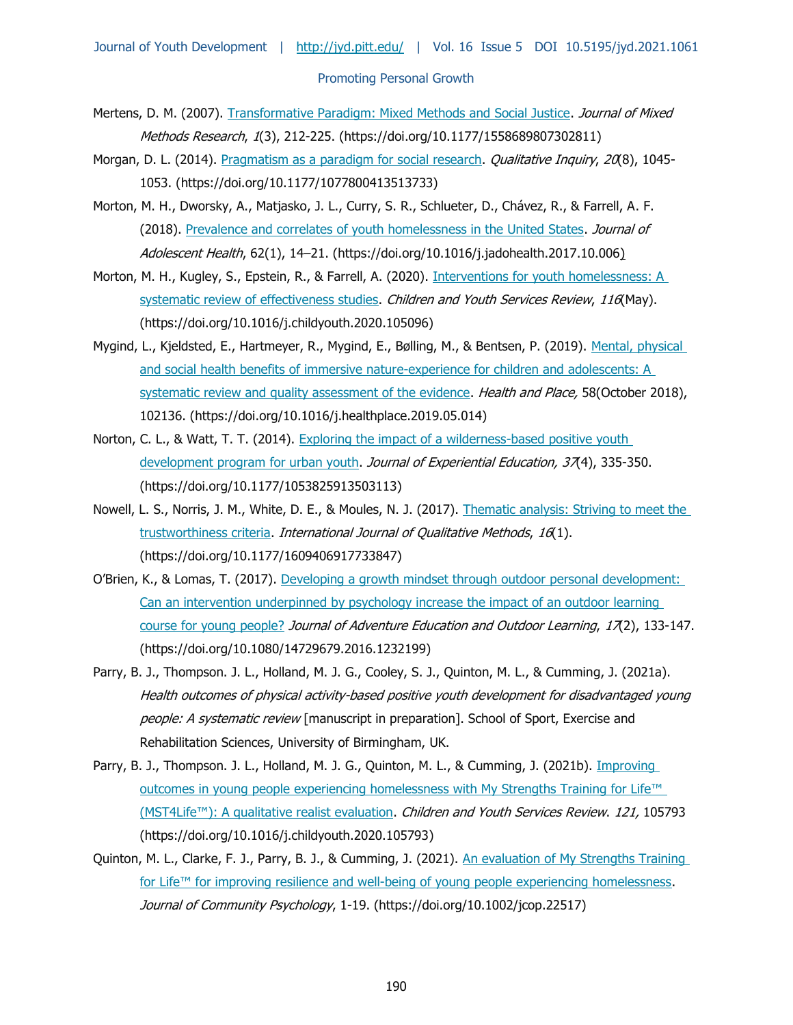- Mertens, D. M. (2007). [Transformative Paradigm: Mixed Methods and Social Justice.](https://doi.org/10.1177/1558689807302811) Journal of Mixed Methods Research, 1(3), 212-225. (https://doi.org/10.1177/1558689807302811)
- Morgan, D. L. (2014). [Pragmatism as a paradigm for social research.](https://doi.org/10.1177/1077800413513733) *Qualitative Inquiry, 20*(8), 1045-1053. (https://doi.org/10.1177/1077800413513733)
- Morton, M. H., Dworsky, A., Matjasko, J. L., Curry, S. R., Schlueter, D., Chávez, R., & Farrell, A. F. (2018). [Prevalence and correlates of youth homelessness in the United States.](https://doi.org/10.1016/j.jadohealth.2017.10.006) Journal of Adolescent Health, 62(1), 14–21. (https://doi.org/10.1016/j.jadohealth.2017.10.006)
- Morton, M. H., Kugley, S., Epstein, R., & Farrell, A. (2020). Interventions for youth homelessness: A [systematic review of effectiveness studies.](https://doi.org/10.1016/j.childyouth.2020.105096) Children and Youth Services Review, 116(May). (https://doi.org/10.1016/j.childyouth.2020.105096)
- Mygind, L., Kjeldsted, E., Hartmeyer, R., Mygind, E., Bølling, M., & Bentsen, P. (2019). Mental, physical and social health benefits of immersive nature-experience for children and adolescents: A [systematic review and quality assessment of the evidence.](https://doi.org/10.1016/j.healthplace.2019.05.014) Health and Place, 58(October 2018), 102136. (https://doi.org/10.1016/j.healthplace.2019.05.014)
- Norton, C. L., & Watt, T. T. (2014). Exploring the impact of a wilderness-based positive youth [development program for urban youth.](https://doi.org/10.1177/1053825913503113) Journal of Experiential Education, 37(4), 335-350. (https://doi.org/10.1177/1053825913503113)
- Nowell, L. S., Norris, J. M., White, D. E., & Moules, N. J. (2017). Thematic analysis: Striving to meet the [trustworthiness criteria.](https://doi.org/10.1177/1609406917733847) International Journal of Qualitative Methods, 16(1). (https://doi.org/10.1177/1609406917733847)
- O'Brien, K., & Lomas, T. (2017). [Developing a growth mindset through outdoor personal development:](https://doi.org/10.1080/14729679.2016.1232199)  [Can an intervention underpinned by psychology increase the impact of an outdoor learning](https://doi.org/10.1080/14729679.2016.1232199)  [course for young people?](https://doi.org/10.1080/14729679.2016.1232199) Journal of Adventure Education and Outdoor Learning, 17(2), 133-147. (https://doi.org/10.1080/14729679.2016.1232199)
- Parry, B. J., Thompson. J. L., Holland, M. J. G., Cooley, S. J., Quinton, M. L., & Cumming, J. (2021a). Health outcomes of physical activity-based positive youth development for disadvantaged young people: A systematic review [manuscript in preparation]. School of Sport, Exercise and Rehabilitation Sciences, University of Birmingham, UK.
- Parry, B. J., Thompson. J. L., Holland, M. J. G., Quinton, M. L., & Cumming, J. (2021b). *Improving* [outcomes in young people experiencing homelessness with My Strengths Training for Life™](https://doi.org/10.1016/j.childyouth.2020.105793)  (MST[4Life™\): A qualitative realist evaluation](https://doi.org/10.1016/j.childyouth.2020.105793). Children and Youth Services Review. 121, 105793 (https://doi.org/10.1016/j.childyouth.2020.105793)
- Quinton, M. L., Clarke, F. J., Parry, B. J., & Cumming, J. (2021). An evaluation of My Strengths Training for Life<sup>™</sup> for improving resilience and well-being of young people experiencing homelessness. Journal of Community Psychology, 1-19. (https://doi.org/10.1002/jcop.22517)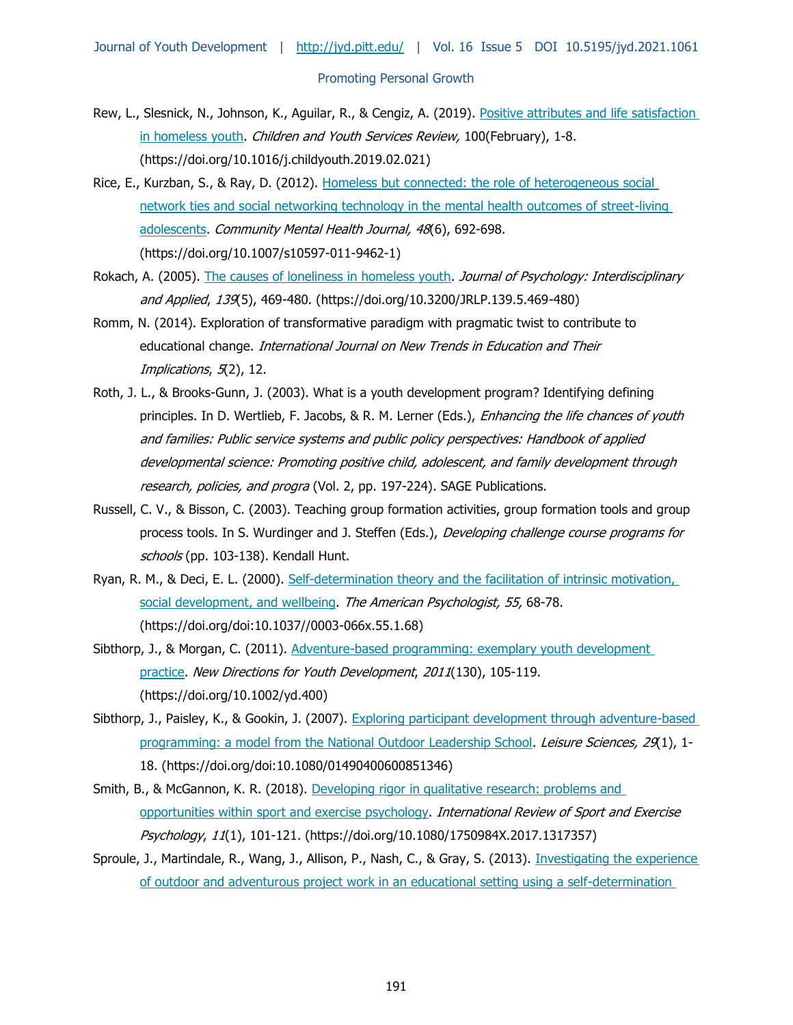- Rew, L., Slesnick, N., Johnson, K., Aguilar, R., & Cengiz, A. (2019). [Positive attributes and life satisfaction](https://doi.org/10.1016/j.childyouth.2019.02.021)  [in homeless youth.](https://doi.org/10.1016/j.childyouth.2019.02.021) Children and Youth Services Review, 100 (February), 1-8. (https://doi.org/10.1016/j.childyouth.2019.02.021)
- Rice, E., Kurzban, S., & Ray, D. (2012). [Homeless but connected: the role of heterogeneous social](https://doi.org/10.1007/s10597-011-9462-1)  [network ties and social networking technology in the mental health outcomes of street-living](https://doi.org/10.1007/s10597-011-9462-1)  [adolescents.](https://doi.org/10.1007/s10597-011-9462-1) Community Mental Health Journal, 48(6), 692-698. (https://doi.org/10.1007/s10597-011-9462-1)
- Rokach, A. (2005). [The causes of loneliness in homeless youth.](https://doi.org/10.3200/JRLP.139.5.469-480) Journal of Psychology: Interdisciplinary and Applied, 139(5), 469-480. (https://doi.org/10.3200/JRLP.139.5.469-480)
- Romm, N. (2014). Exploration of transformative paradigm with pragmatic twist to contribute to educational change. International Journal on New Trends in Education and Their Implications, 5(2), 12.
- Roth, J. L., & Brooks-Gunn, J. (2003). What is a youth development program? Identifying defining principles. In D. Wertlieb, F. Jacobs, & R. M. Lerner (Eds.), Enhancing the life chances of youth and families: Public service systems and public policy perspectives: Handbook of applied developmental science: Promoting positive child, adolescent, and family development through research, policies, and progra (Vol. 2, pp. 197-224). SAGE Publications.
- Russell, C. V., & Bisson, C. (2003). Teaching group formation activities, group formation tools and group process tools. In S. Wurdinger and J. Steffen (Eds.), Developing challenge course programs for schools (pp. 103-138). Kendall Hunt.
- Ryan, R. M., & Deci, E. L. (2000). [Self-determination theory and the facilitation of intrinsic motivation,](https://doi.org/doi:10.1037/0003-066x.55.1.68)  [social development, and wellbeing.](https://doi.org/doi:10.1037/0003-066x.55.1.68) The American Psychologist, 55, 68-78. (https://doi.org/doi:10.1037//0003-066x.55.1.68)
- Sibthorp, J., & Morgan, C. (2011). Adventure-based programming: exemplary youth development [practice.](https://doi.org/10.1002/yd.400) New Directions for Youth Development, 2011(130), 105-119. (https://doi.org/10.1002/yd.400)
- Sibthorp, J., Paisley, K., & Gookin, J. (2007). Exploring participant development through adventure-based [programming: a model from the National Outdoor Leadership School.](https://doi.org/doi:10.1080/01490400600851346) Leisure Sciences, 29(1), 1-18. (https://doi.org/doi:10.1080/01490400600851346)
- Smith, B., & McGannon, K. R. (2018). Developing rigor in qualitative research: problems and [opportunities within sport and exercise psychology.](https://doi.org/10.1080/1750984X.2017.1317357) International Review of Sport and Exercise Psychology, 11(1), 101-121. (https://doi.org/10.1080/1750984X.2017.1317357)
- Sproule, J., Martindale, R., Wang, J., Allison, P., Nash, C., & Gray, S. (2013). Investigating the experience [of outdoor and adventurous project work in an educational setting using a self-determination](https://doi.org/10.1177/1356336X13495629)